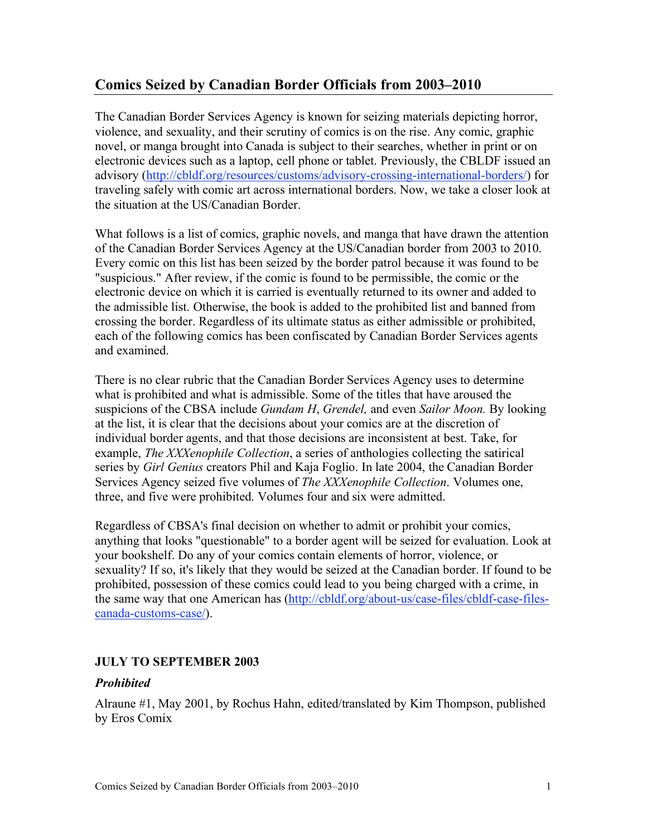# **Comics Seized by Canadian Border Officials from 2003–2010**

The Canadian Border Services Agency is known for seizing materials depicting horror, violence, and sexuality, and their scrutiny of comics is on the rise. Any comic, graphic novel, or manga brought into Canada is subject to their searches, whether in print or on electronic devices such as a laptop, cell phone or tablet. Previously, the CBLDF issued an advisory (http://cbldf.org/resources/customs/advisory-crossing-international-borders/) for traveling safely with comic art across international borders. Now, we take a closer look at the situation at the US/Canadian Border.

What follows is a list of comics, graphic novels, and manga that have drawn the attention of the Canadian Border Services Agency at the US/Canadian border from 2003 to 2010. Every comic on this list has been seized by the border patrol because it was found to be "suspicious." After review, if the comic is found to be permissible, the comic or the electronic device on which it is carried is eventually returned to its owner and added to the admissible list. Otherwise, the book is added to the prohibited list and banned from crossing the border. Regardless of its ultimate status as either admissible or prohibited, each of the following comics has been confiscated by Canadian Border Services agents and examined.

There is no clear rubric that the Canadian Border Services Agency uses to determine what is prohibited and what is admissible. Some of the titles that have aroused the suspicions of the CBSA include *Gundam H*, *Grendel,* and even *Sailor Moon.* By looking at the list, it is clear that the decisions about your comics are at the discretion of individual border agents, and that those decisions are inconsistent at best. Take, for example, *The XXXenophile Collection*, a series of anthologies collecting the satirical series by *Girl Genius* creators Phil and Kaja Foglio. In late 2004, the Canadian Border Services Agency seized five volumes of *The XXXenophile Collection*. Volumes one, three, and five were prohibited. Volumes four and six were admitted.

Regardless of CBSA's final decision on whether to admit or prohibit your comics, anything that looks "questionable" to a border agent will be seized for evaluation. Look at your bookshelf. Do any of your comics contain elements of horror, violence, or sexuality? If so, it's likely that they would be seized at the Canadian border. If found to be prohibited, possession of these comics could lead to you being charged with a crime, in the same way that one American has (http://cbldf.org/about-us/case-files/cbldf-case-filescanada-customs-case/).

# **JULY TO SEPTEMBER 2003**

#### *Prohibited*

Alraune #1, May 2001, by Rochus Hahn, edited/translated by Kim Thompson, published by Eros Comix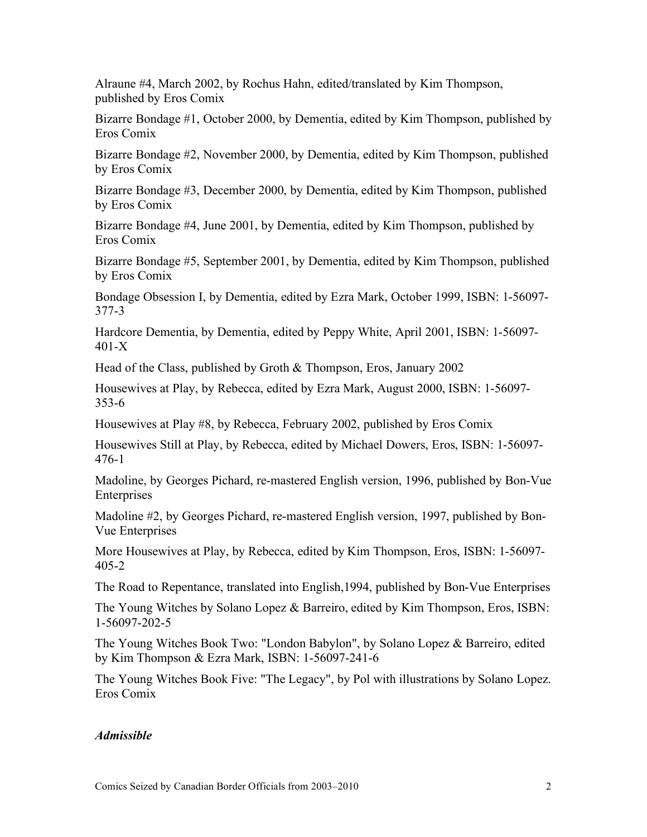Alraune #4, March 2002, by Rochus Hahn, edited/translated by Kim Thompson, published by Eros Comix

Bizarre Bondage #1, October 2000, by Dementia, edited by Kim Thompson, published by Eros Comix

Bizarre Bondage #2, November 2000, by Dementia, edited by Kim Thompson, published by Eros Comix

Bizarre Bondage #3, December 2000, by Dementia, edited by Kim Thompson, published by Eros Comix

Bizarre Bondage #4, June 2001, by Dementia, edited by Kim Thompson, published by Eros Comix

Bizarre Bondage #5, September 2001, by Dementia, edited by Kim Thompson, published by Eros Comix

Bondage Obsession I, by Dementia, edited by Ezra Mark, October 1999, ISBN: 1-56097- 377-3

Hardcore Dementia, by Dementia, edited by Peppy White, April 2001, ISBN: 1-56097- 401-X

Head of the Class, published by Groth & Thompson, Eros, January 2002

Housewives at Play, by Rebecca, edited by Ezra Mark, August 2000, ISBN: 1-56097- 353-6

Housewives at Play #8, by Rebecca, February 2002, published by Eros Comix

Housewives Still at Play, by Rebecca, edited by Michael Dowers, Eros, ISBN: 1-56097- 476-1

Madoline, by Georges Pichard, re-mastered English version, 1996, published by Bon-Vue Enterprises

Madoline #2, by Georges Pichard, re-mastered English version, 1997, published by Bon-Vue Enterprises

More Housewives at Play, by Rebecca, edited by Kim Thompson, Eros, ISBN: 1-56097- 405-2

The Road to Repentance, translated into English,1994, published by Bon-Vue Enterprises

The Young Witches by Solano Lopez & Barreiro, edited by Kim Thompson, Eros, ISBN: 1-56097-202-5

The Young Witches Book Two: "London Babylon", by Solano Lopez & Barreiro, edited by Kim Thompson & Ezra Mark, ISBN: 1-56097-241-6

The Young Witches Book Five: "The Legacy", by Pol with illustrations by Solano Lopez. Eros Comix

#### *Admissible*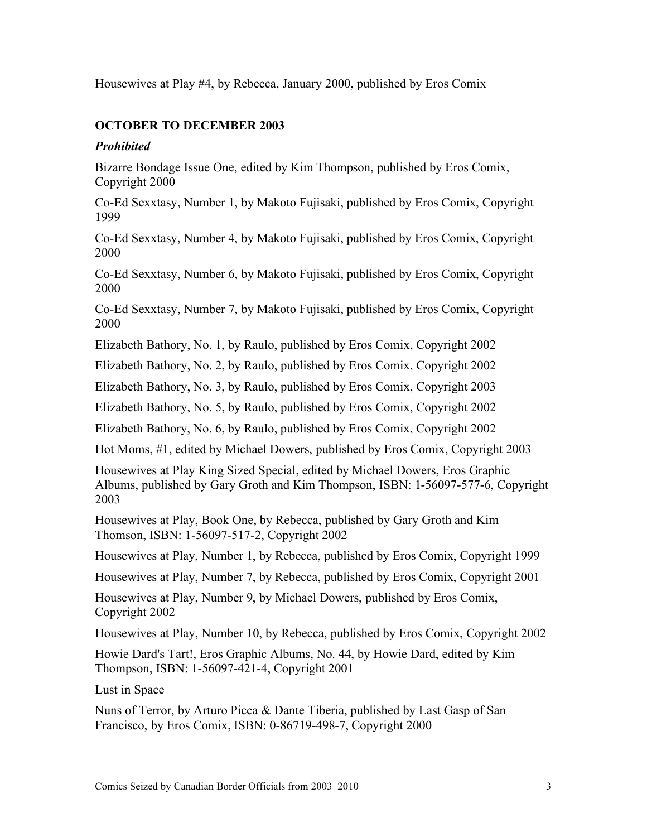Housewives at Play #4, by Rebecca, January 2000, published by Eros Comix

# **OCTOBER TO DECEMBER 2003**

### *Prohibited*

Bizarre Bondage Issue One, edited by Kim Thompson, published by Eros Comix, Copyright 2000

Co-Ed Sexxtasy, Number 1, by Makoto Fujisaki, published by Eros Comix, Copyright 1999

Co-Ed Sexxtasy, Number 4, by Makoto Fujisaki, published by Eros Comix, Copyright 2000

Co-Ed Sexxtasy, Number 6, by Makoto Fujisaki, published by Eros Comix, Copyright 2000

Co-Ed Sexxtasy, Number 7, by Makoto Fujisaki, published by Eros Comix, Copyright 2000

Elizabeth Bathory, No. 1, by Raulo, published by Eros Comix, Copyright 2002

Elizabeth Bathory, No. 2, by Raulo, published by Eros Comix, Copyright 2002

Elizabeth Bathory, No. 3, by Raulo, published by Eros Comix, Copyright 2003

Elizabeth Bathory, No. 5, by Raulo, published by Eros Comix, Copyright 2002

Elizabeth Bathory, No. 6, by Raulo, published by Eros Comix, Copyright 2002

Hot Moms, #1, edited by Michael Dowers, published by Eros Comix, Copyright 2003

Housewives at Play King Sized Special, edited by Michael Dowers, Eros Graphic Albums, published by Gary Groth and Kim Thompson, ISBN: 1-56097-577-6, Copyright 2003

Housewives at Play, Book One, by Rebecca, published by Gary Groth and Kim Thomson, ISBN: 1-56097-517-2, Copyright 2002

Housewives at Play, Number 1, by Rebecca, published by Eros Comix, Copyright 1999

Housewives at Play, Number 7, by Rebecca, published by Eros Comix, Copyright 2001

Housewives at Play, Number 9, by Michael Dowers, published by Eros Comix, Copyright 2002

Housewives at Play, Number 10, by Rebecca, published by Eros Comix, Copyright 2002

Howie Dard's Tart!, Eros Graphic Albums, No. 44, by Howie Dard, edited by Kim Thompson, ISBN: 1-56097-421-4, Copyright 2001

Lust in Space

Nuns of Terror, by Arturo Picca & Dante Tiberia, published by Last Gasp of San Francisco, by Eros Comix, ISBN: 0-86719-498-7, Copyright 2000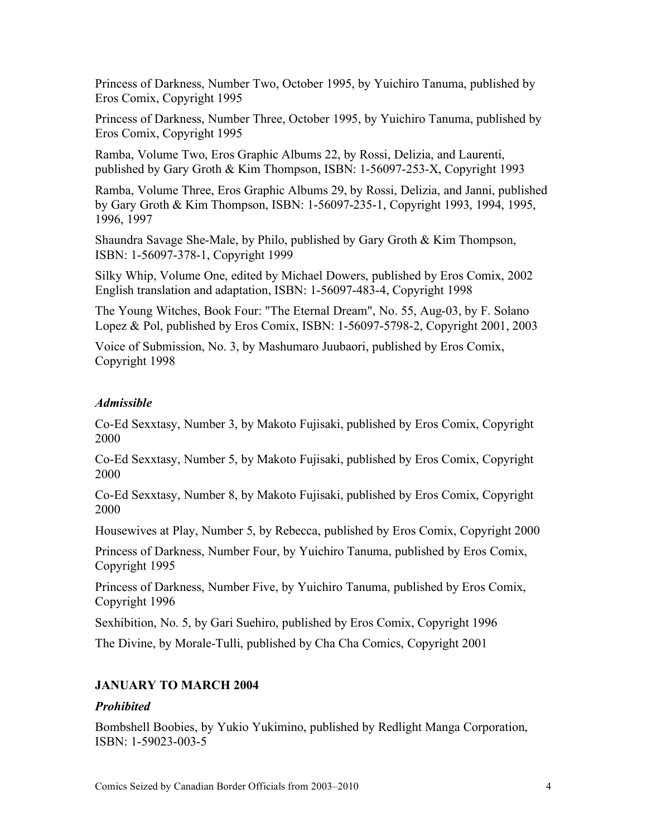Princess of Darkness, Number Two, October 1995, by Yuichiro Tanuma, published by Eros Comix, Copyright 1995

Princess of Darkness, Number Three, October 1995, by Yuichiro Tanuma, published by Eros Comix, Copyright 1995

Ramba, Volume Two, Eros Graphic Albums 22, by Rossi, Delizia, and Laurenti, published by Gary Groth & Kim Thompson, ISBN: 1-56097-253-X, Copyright 1993

Ramba, Volume Three, Eros Graphic Albums 29, by Rossi, Delizia, and Janni, published by Gary Groth & Kim Thompson, ISBN: 1-56097-235-1, Copyright 1993, 1994, 1995, 1996, 1997

Shaundra Savage She-Male, by Philo, published by Gary Groth & Kim Thompson, ISBN: 1-56097-378-1, Copyright 1999

Silky Whip, Volume One, edited by Michael Dowers, published by Eros Comix, 2002 English translation and adaptation, ISBN: 1-56097-483-4, Copyright 1998

The Young Witches, Book Four: "The Eternal Dream", No. 55, Aug-03, by F. Solano Lopez & Pol, published by Eros Comix, ISBN: 1-56097-5798-2, Copyright 2001, 2003

Voice of Submission, No. 3, by Mashumaro Juubaori, published by Eros Comix, Copyright 1998

#### *Admissible*

Co-Ed Sexxtasy, Number 3, by Makoto Fujisaki, published by Eros Comix, Copyright 2000

Co-Ed Sexxtasy, Number 5, by Makoto Fujisaki, published by Eros Comix, Copyright 2000

Co-Ed Sexxtasy, Number 8, by Makoto Fujisaki, published by Eros Comix, Copyright 2000

Housewives at Play, Number 5, by Rebecca, published by Eros Comix, Copyright 2000

Princess of Darkness, Number Four, by Yuichiro Tanuma, published by Eros Comix, Copyright 1995

Princess of Darkness, Number Five, by Yuichiro Tanuma, published by Eros Comix, Copyright 1996

Sexhibition, No. 5, by Gari Suehiro, published by Eros Comix, Copyright 1996

The Divine, by Morale-Tulli, published by Cha Cha Comics, Copyright 2001

#### **JANUARY TO MARCH 2004**

#### *Prohibited*

Bombshell Boobies, by Yukio Yukimino, published by Redlight Manga Corporation, ISBN: 1-59023-003-5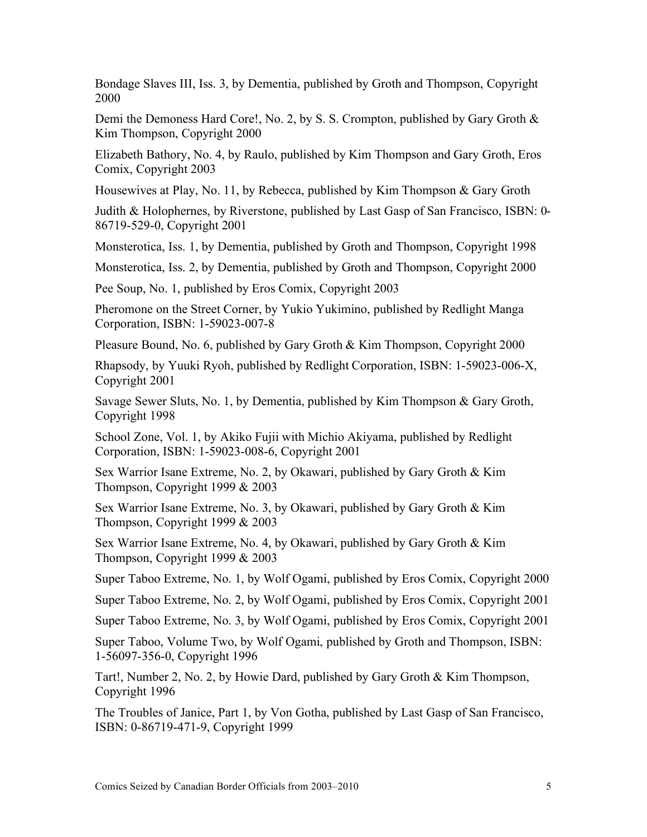Bondage Slaves III, Iss. 3, by Dementia, published by Groth and Thompson, Copyright 2000

Demi the Demoness Hard Core!, No. 2, by S. S. Crompton, published by Gary Groth  $\&$ Kim Thompson, Copyright 2000

Elizabeth Bathory, No. 4, by Raulo, published by Kim Thompson and Gary Groth, Eros Comix, Copyright 2003

Housewives at Play, No. 11, by Rebecca, published by Kim Thompson & Gary Groth

Judith & Holophernes, by Riverstone, published by Last Gasp of San Francisco, ISBN: 0- 86719-529-0, Copyright 2001

Monsterotica, Iss. 1, by Dementia, published by Groth and Thompson, Copyright 1998

Monsterotica, Iss. 2, by Dementia, published by Groth and Thompson, Copyright 2000

Pee Soup, No. 1, published by Eros Comix, Copyright 2003

Pheromone on the Street Corner, by Yukio Yukimino, published by Redlight Manga Corporation, ISBN: 1-59023-007-8

Pleasure Bound, No. 6, published by Gary Groth & Kim Thompson, Copyright 2000

Rhapsody, by Yuuki Ryoh, published by Redlight Corporation, ISBN: 1-59023-006-X, Copyright 2001

Savage Sewer Sluts, No. 1, by Dementia, published by Kim Thompson & Gary Groth, Copyright 1998

School Zone, Vol. 1, by Akiko Fujii with Michio Akiyama, published by Redlight Corporation, ISBN: 1-59023-008-6, Copyright 2001

Sex Warrior Isane Extreme, No. 2, by Okawari, published by Gary Groth & Kim Thompson, Copyright 1999 & 2003

Sex Warrior Isane Extreme, No. 3, by Okawari, published by Gary Groth & Kim Thompson, Copyright 1999 & 2003

Sex Warrior Isane Extreme, No. 4, by Okawari, published by Gary Groth & Kim Thompson, Copyright 1999 & 2003

Super Taboo Extreme, No. 1, by Wolf Ogami, published by Eros Comix, Copyright 2000

Super Taboo Extreme, No. 2, by Wolf Ogami, published by Eros Comix, Copyright 2001

Super Taboo Extreme, No. 3, by Wolf Ogami, published by Eros Comix, Copyright 2001

Super Taboo, Volume Two, by Wolf Ogami, published by Groth and Thompson, ISBN: 1-56097-356-0, Copyright 1996

Tart!, Number 2, No. 2, by Howie Dard, published by Gary Groth & Kim Thompson, Copyright 1996

The Troubles of Janice, Part 1, by Von Gotha, published by Last Gasp of San Francisco, ISBN: 0-86719-471-9, Copyright 1999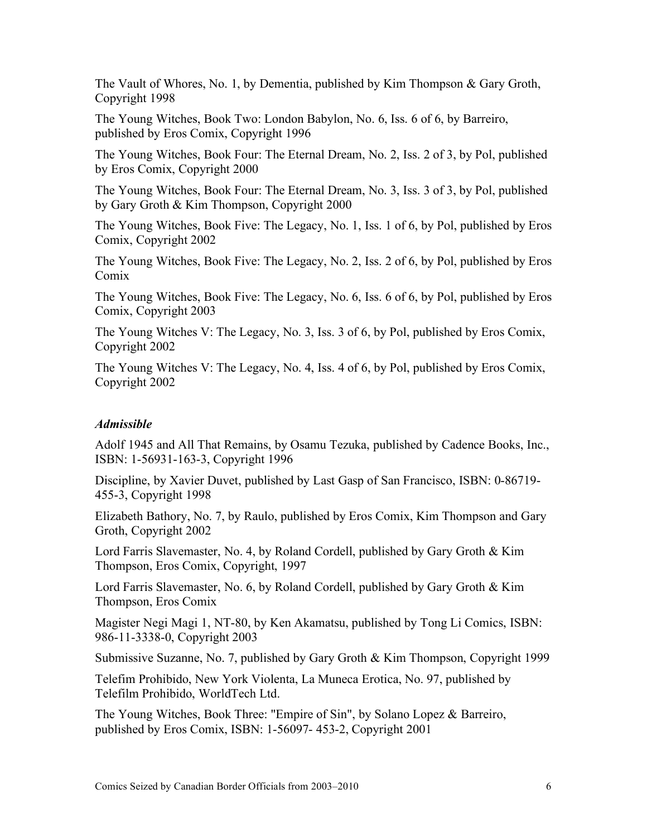The Vault of Whores, No. 1, by Dementia, published by Kim Thompson & Gary Groth, Copyright 1998

The Young Witches, Book Two: London Babylon, No. 6, Iss. 6 of 6, by Barreiro, published by Eros Comix, Copyright 1996

The Young Witches, Book Four: The Eternal Dream, No. 2, Iss. 2 of 3, by Pol, published by Eros Comix, Copyright 2000

The Young Witches, Book Four: The Eternal Dream, No. 3, Iss. 3 of 3, by Pol, published by Gary Groth & Kim Thompson, Copyright 2000

The Young Witches, Book Five: The Legacy, No. 1, Iss. 1 of 6, by Pol, published by Eros Comix, Copyright 2002

The Young Witches, Book Five: The Legacy, No. 2, Iss. 2 of 6, by Pol, published by Eros Comix

The Young Witches, Book Five: The Legacy, No. 6, Iss. 6 of 6, by Pol, published by Eros Comix, Copyright 2003

The Young Witches V: The Legacy, No. 3, Iss. 3 of 6, by Pol, published by Eros Comix, Copyright 2002

The Young Witches V: The Legacy, No. 4, Iss. 4 of 6, by Pol, published by Eros Comix, Copyright 2002

#### *Admissible*

Adolf 1945 and All That Remains, by Osamu Tezuka, published by Cadence Books, Inc., ISBN: 1-56931-163-3, Copyright 1996

Discipline, by Xavier Duvet, published by Last Gasp of San Francisco, ISBN: 0-86719- 455-3, Copyright 1998

Elizabeth Bathory, No. 7, by Raulo, published by Eros Comix, Kim Thompson and Gary Groth, Copyright 2002

Lord Farris Slavemaster, No. 4, by Roland Cordell, published by Gary Groth & Kim Thompson, Eros Comix, Copyright, 1997

Lord Farris Slavemaster, No. 6, by Roland Cordell, published by Gary Groth & Kim Thompson, Eros Comix

Magister Negi Magi 1, NT-80, by Ken Akamatsu, published by Tong Li Comics, ISBN: 986-11-3338-0, Copyright 2003

Submissive Suzanne, No. 7, published by Gary Groth & Kim Thompson, Copyright 1999

Telefim Prohibido, New York Violenta, La Muneca Erotica, No. 97, published by Telefilm Prohibido, WorldTech Ltd.

The Young Witches, Book Three: "Empire of Sin", by Solano Lopez & Barreiro, published by Eros Comix, ISBN: 1-56097- 453-2, Copyright 2001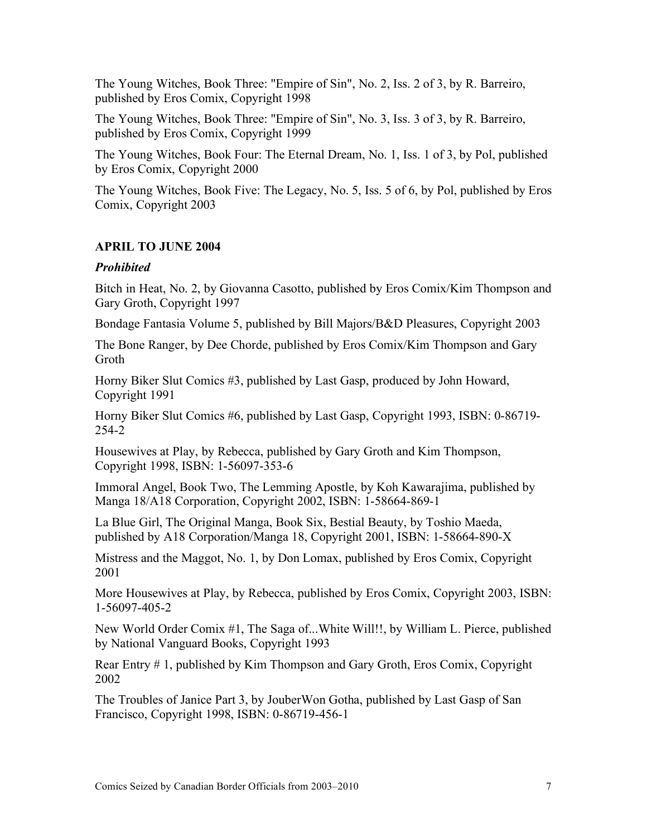The Young Witches, Book Three: "Empire of Sin", No. 2, Iss. 2 of 3, by R. Barreiro, published by Eros Comix, Copyright 1998

The Young Witches, Book Three: "Empire of Sin", No. 3, Iss. 3 of 3, by R. Barreiro, published by Eros Comix, Copyright 1999

The Young Witches, Book Four: The Eternal Dream, No. 1, Iss. 1 of 3, by Pol, published by Eros Comix, Copyright 2000

The Young Witches, Book Five: The Legacy, No. 5, Iss. 5 of 6, by Pol, published by Eros Comix, Copyright 2003

### **APRIL TO JUNE 2004**

#### *Prohibited*

Bitch in Heat, No. 2, by Giovanna Casotto, published by Eros Comix/Kim Thompson and Gary Groth, Copyright 1997

Bondage Fantasia Volume 5, published by Bill Majors/B&D Pleasures, Copyright 2003

The Bone Ranger, by Dee Chorde, published by Eros Comix/Kim Thompson and Gary Groth

Horny Biker Slut Comics #3, published by Last Gasp, produced by John Howard, Copyright 1991

Horny Biker Slut Comics #6, published by Last Gasp, Copyright 1993, ISBN: 0-86719- 254-2

Housewives at Play, by Rebecca, published by Gary Groth and Kim Thompson, Copyright 1998, ISBN: 1-56097-353-6

Immoral Angel, Book Two, The Lemming Apostle, by Koh Kawarajima, published by Manga 18/A18 Corporation, Copyright 2002, ISBN: 1-58664-869-1

La Blue Girl, The Original Manga, Book Six, Bestial Beauty, by Toshio Maeda, published by A18 Corporation/Manga 18, Copyright 2001, ISBN: 1-58664-890-X

Mistress and the Maggot, No. 1, by Don Lomax, published by Eros Comix, Copyright 2001

More Housewives at Play, by Rebecca, published by Eros Comix, Copyright 2003, ISBN: 1-56097-405-2

New World Order Comix #1, The Saga of...White Will!!, by William L. Pierce, published by National Vanguard Books, Copyright 1993

Rear Entry # 1, published by Kim Thompson and Gary Groth, Eros Comix, Copyright 2002

The Troubles of Janice Part 3, by JouberWon Gotha, published by Last Gasp of San Francisco, Copyright 1998, ISBN: 0-86719-456-1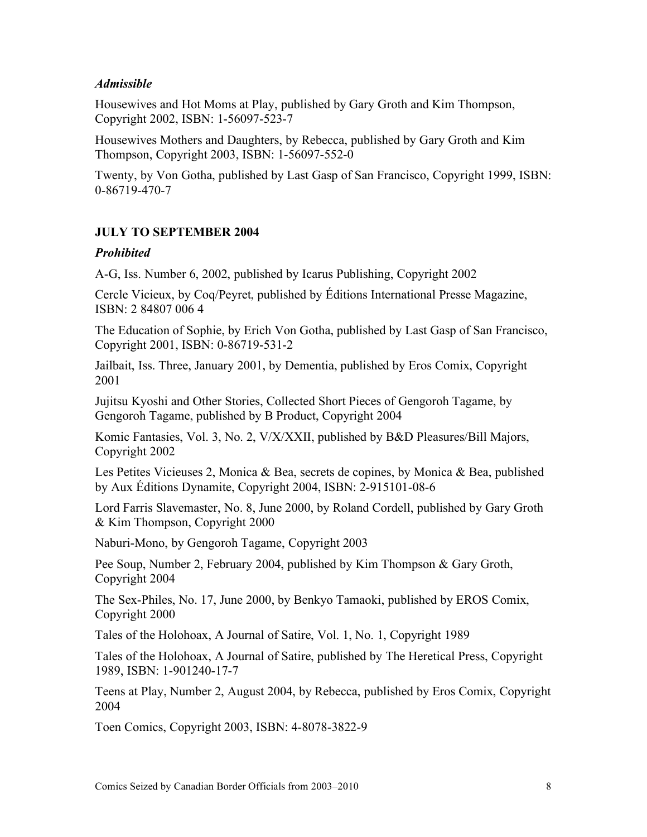### *Admissible*

Housewives and Hot Moms at Play, published by Gary Groth and Kim Thompson, Copyright 2002, ISBN: 1-56097-523-7

Housewives Mothers and Daughters, by Rebecca, published by Gary Groth and Kim Thompson, Copyright 2003, ISBN: 1-56097-552-0

Twenty, by Von Gotha, published by Last Gasp of San Francisco, Copyright 1999, ISBN: 0-86719-470-7

# **JULY TO SEPTEMBER 2004**

### *Prohibited*

A-G, Iss. Number 6, 2002, published by Icarus Publishing, Copyright 2002

Cercle Vicieux, by Coq/Peyret, published by Éditions International Presse Magazine, ISBN: 2 84807 006 4

The Education of Sophie, by Erich Von Gotha, published by Last Gasp of San Francisco, Copyright 2001, ISBN: 0-86719-531-2

Jailbait, Iss. Three, January 2001, by Dementia, published by Eros Comix, Copyright 2001

Jujitsu Kyoshi and Other Stories, Collected Short Pieces of Gengoroh Tagame, by Gengoroh Tagame, published by B Product, Copyright 2004

Komic Fantasies, Vol. 3, No. 2, V/X/XXII, published by B&D Pleasures/Bill Majors, Copyright 2002

Les Petites Vicieuses 2, Monica & Bea, secrets de copines, by Monica & Bea, published by Aux Éditions Dynamite, Copyright 2004, ISBN: 2-915101-08-6

Lord Farris Slavemaster, No. 8, June 2000, by Roland Cordell, published by Gary Groth & Kim Thompson, Copyright 2000

Naburi-Mono, by Gengoroh Tagame, Copyright 2003

Pee Soup, Number 2, February 2004, published by Kim Thompson & Gary Groth, Copyright 2004

The Sex-Philes, No. 17, June 2000, by Benkyo Tamaoki, published by EROS Comix, Copyright 2000

Tales of the Holohoax, A Journal of Satire, Vol. 1, No. 1, Copyright 1989

Tales of the Holohoax, A Journal of Satire, published by The Heretical Press, Copyright 1989, ISBN: 1-901240-17-7

Teens at Play, Number 2, August 2004, by Rebecca, published by Eros Comix, Copyright 2004

Toen Comics, Copyright 2003, ISBN: 4-8078-3822-9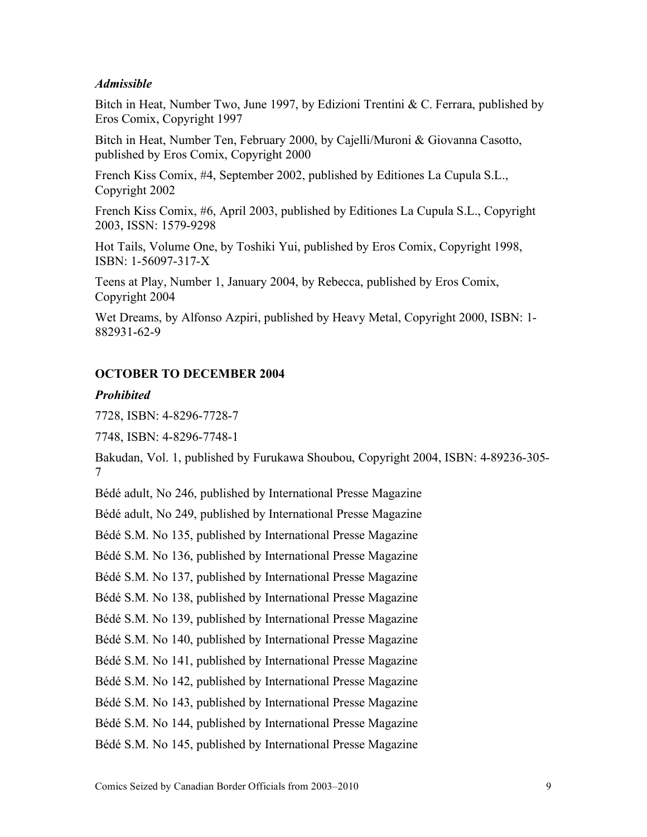#### *Admissible*

Bitch in Heat, Number Two, June 1997, by Edizioni Trentini & C. Ferrara, published by Eros Comix, Copyright 1997

Bitch in Heat, Number Ten, February 2000, by Cajelli/Muroni & Giovanna Casotto, published by Eros Comix, Copyright 2000

French Kiss Comix, #4, September 2002, published by Editiones La Cupula S.L., Copyright 2002

French Kiss Comix, #6, April 2003, published by Editiones La Cupula S.L., Copyright 2003, ISSN: 1579-9298

Hot Tails, Volume One, by Toshiki Yui, published by Eros Comix, Copyright 1998, ISBN: 1-56097-317-X

Teens at Play, Number 1, January 2004, by Rebecca, published by Eros Comix, Copyright 2004

Wet Dreams, by Alfonso Azpiri, published by Heavy Metal, Copyright 2000, ISBN: 1- 882931-62-9

### **OCTOBER TO DECEMBER 2004**

#### *Prohibited*

7728, ISBN: 4-8296-7728-7

7748, ISBN: 4-8296-7748-1

Bakudan, Vol. 1, published by Furukawa Shoubou, Copyright 2004, ISBN: 4-89236-305- 7

Bédé adult, No 246, published by International Presse Magazine

Bédé adult, No 249, published by International Presse Magazine

Bédé S.M. No 135, published by International Presse Magazine

Bédé S.M. No 136, published by International Presse Magazine

Bédé S.M. No 137, published by International Presse Magazine

Bédé S.M. No 138, published by International Presse Magazine

Bédé S.M. No 139, published by International Presse Magazine

Bédé S.M. No 140, published by International Presse Magazine

Bédé S.M. No 141, published by International Presse Magazine

Bédé S.M. No 142, published by International Presse Magazine

Bédé S.M. No 143, published by International Presse Magazine

Bédé S.M. No 144, published by International Presse Magazine

Bédé S.M. No 145, published by International Presse Magazine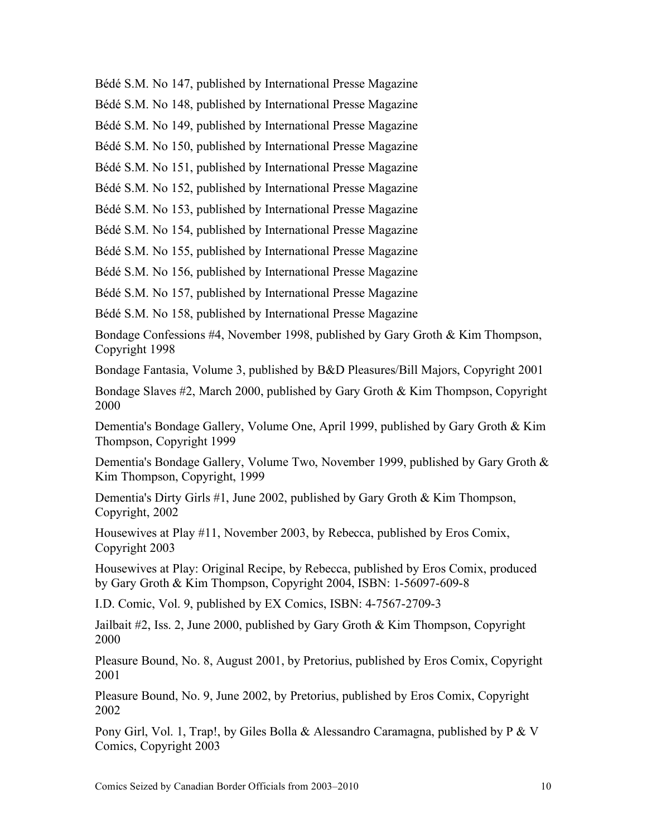Bédé S.M. No 147, published by International Presse Magazine

Bédé S.M. No 148, published by International Presse Magazine

Bédé S.M. No 149, published by International Presse Magazine

Bédé S.M. No 150, published by International Presse Magazine

Bédé S.M. No 151, published by International Presse Magazine

Bédé S.M. No 152, published by International Presse Magazine

Bédé S.M. No 153, published by International Presse Magazine

Bédé S.M. No 154, published by International Presse Magazine

Bédé S.M. No 155, published by International Presse Magazine

Bédé S.M. No 156, published by International Presse Magazine

Bédé S.M. No 157, published by International Presse Magazine

Bédé S.M. No 158, published by International Presse Magazine

Bondage Confessions #4, November 1998, published by Gary Groth & Kim Thompson, Copyright 1998

Bondage Fantasia, Volume 3, published by B&D Pleasures/Bill Majors, Copyright 2001

Bondage Slaves #2, March 2000, published by Gary Groth & Kim Thompson, Copyright 2000

Dementia's Bondage Gallery, Volume One, April 1999, published by Gary Groth & Kim Thompson, Copyright 1999

Dementia's Bondage Gallery, Volume Two, November 1999, published by Gary Groth & Kim Thompson, Copyright, 1999

Dementia's Dirty Girls #1, June 2002, published by Gary Groth & Kim Thompson, Copyright, 2002

Housewives at Play #11, November 2003, by Rebecca, published by Eros Comix, Copyright 2003

Housewives at Play: Original Recipe, by Rebecca, published by Eros Comix, produced by Gary Groth & Kim Thompson, Copyright 2004, ISBN: 1-56097-609-8

I.D. Comic, Vol. 9, published by EX Comics, ISBN: 4-7567-2709-3

Jailbait #2, Iss. 2, June 2000, published by Gary Groth & Kim Thompson, Copyright 2000

Pleasure Bound, No. 8, August 2001, by Pretorius, published by Eros Comix, Copyright 2001

Pleasure Bound, No. 9, June 2002, by Pretorius, published by Eros Comix, Copyright 2002

Pony Girl, Vol. 1, Trap!, by Giles Bolla & Alessandro Caramagna, published by  $P \& V$ Comics, Copyright 2003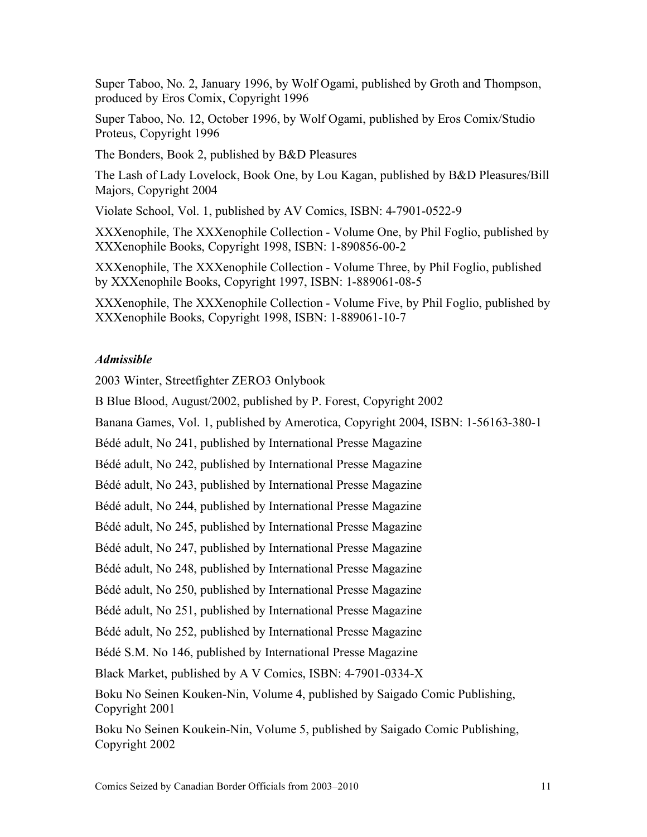Super Taboo, No. 2, January 1996, by Wolf Ogami, published by Groth and Thompson, produced by Eros Comix, Copyright 1996

Super Taboo, No. 12, October 1996, by Wolf Ogami, published by Eros Comix/Studio Proteus, Copyright 1996

The Bonders, Book 2, published by B&D Pleasures

The Lash of Lady Lovelock, Book One, by Lou Kagan, published by B&D Pleasures/Bill Majors, Copyright 2004

Violate School, Vol. 1, published by AV Comics, ISBN: 4-7901-0522-9

XXXenophile, The XXXenophile Collection - Volume One, by Phil Foglio, published by XXXenophile Books, Copyright 1998, ISBN: 1-890856-00-2

XXXenophile, The XXXenophile Collection - Volume Three, by Phil Foglio, published by XXXenophile Books, Copyright 1997, ISBN: 1-889061-08-5

XXXenophile, The XXXenophile Collection - Volume Five, by Phil Foglio, published by XXXenophile Books, Copyright 1998, ISBN: 1-889061-10-7

# *Admissible*

2003 Winter, Streetfighter ZERO3 Onlybook

B Blue Blood, August/2002, published by P. Forest, Copyright 2002

Banana Games, Vol. 1, published by Amerotica, Copyright 2004, ISBN: 1-56163-380-1

Bédé adult, No 241, published by International Presse Magazine

Bédé adult, No 242, published by International Presse Magazine

Bédé adult, No 243, published by International Presse Magazine

Bédé adult, No 244, published by International Presse Magazine

Bédé adult, No 245, published by International Presse Magazine

Bédé adult, No 247, published by International Presse Magazine

Bédé adult, No 248, published by International Presse Magazine

Bédé adult, No 250, published by International Presse Magazine

Bédé adult, No 251, published by International Presse Magazine

Bédé adult, No 252, published by International Presse Magazine

Bédé S.M. No 146, published by International Presse Magazine

Black Market, published by A V Comics, ISBN: 4-7901-0334-X

Boku No Seinen Kouken-Nin, Volume 4, published by Saigado Comic Publishing, Copyright 2001

Boku No Seinen Koukein-Nin, Volume 5, published by Saigado Comic Publishing, Copyright 2002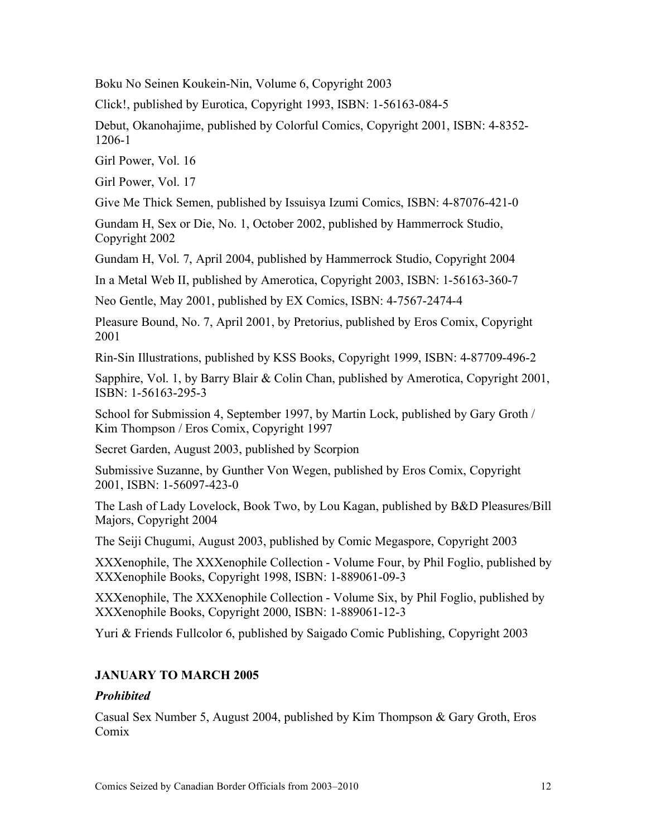Boku No Seinen Koukein-Nin, Volume 6, Copyright 2003

Click!, published by Eurotica, Copyright 1993, ISBN: 1-56163-084-5

Debut, Okanohajime, published by Colorful Comics, Copyright 2001, ISBN: 4-8352- 1206-1

Girl Power, Vol. 16

Girl Power, Vol. 17

Give Me Thick Semen, published by Issuisya Izumi Comics, ISBN: 4-87076-421-0

Gundam H, Sex or Die, No. 1, October 2002, published by Hammerrock Studio, Copyright 2002

Gundam H, Vol. 7, April 2004, published by Hammerrock Studio, Copyright 2004

In a Metal Web II, published by Amerotica, Copyright 2003, ISBN: 1-56163-360-7

Neo Gentle, May 2001, published by EX Comics, ISBN: 4-7567-2474-4

Pleasure Bound, No. 7, April 2001, by Pretorius, published by Eros Comix, Copyright 2001

Rin-Sin Illustrations, published by KSS Books, Copyright 1999, ISBN: 4-87709-496-2

Sapphire, Vol. 1, by Barry Blair & Colin Chan, published by Amerotica, Copyright 2001, ISBN: 1-56163-295-3

School for Submission 4, September 1997, by Martin Lock, published by Gary Groth / Kim Thompson / Eros Comix, Copyright 1997

Secret Garden, August 2003, published by Scorpion

Submissive Suzanne, by Gunther Von Wegen, published by Eros Comix, Copyright 2001, ISBN: 1-56097-423-0

The Lash of Lady Lovelock, Book Two, by Lou Kagan, published by B&D Pleasures/Bill Majors, Copyright 2004

The Seiji Chugumi, August 2003, published by Comic Megaspore, Copyright 2003

XXXenophile, The XXXenophile Collection - Volume Four, by Phil Foglio, published by XXXenophile Books, Copyright 1998, ISBN: 1-889061-09-3

XXXenophile, The XXXenophile Collection - Volume Six, by Phil Foglio, published by XXXenophile Books, Copyright 2000, ISBN: 1-889061-12-3

Yuri & Friends Fullcolor 6, published by Saigado Comic Publishing, Copyright 2003

# **JANUARY TO MARCH 2005**

# *Prohibited*

Casual Sex Number 5, August 2004, published by Kim Thompson & Gary Groth, Eros Comix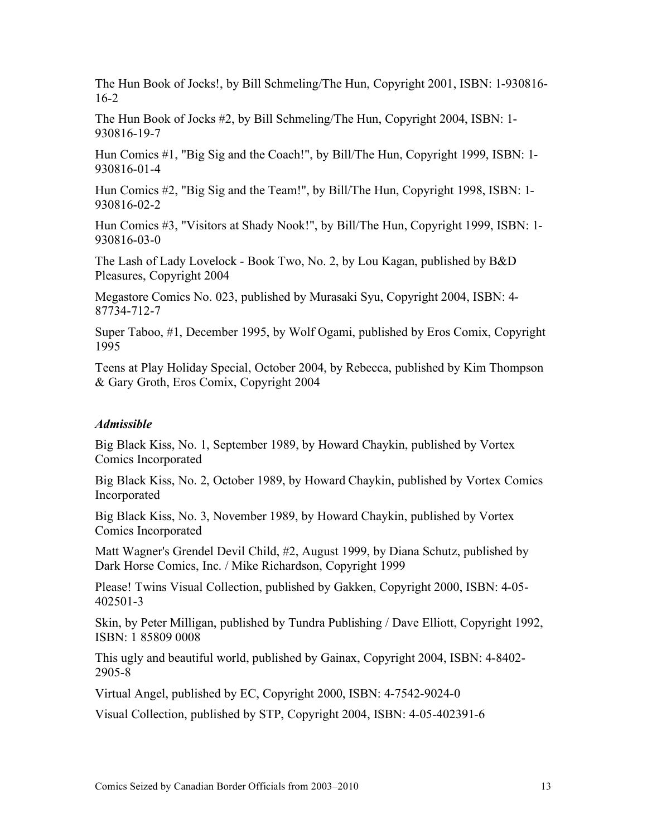The Hun Book of Jocks!, by Bill Schmeling/The Hun, Copyright 2001, ISBN: 1-930816- 16-2

The Hun Book of Jocks #2, by Bill Schmeling/The Hun, Copyright 2004, ISBN: 1- 930816-19-7

Hun Comics #1, "Big Sig and the Coach!", by Bill/The Hun, Copyright 1999, ISBN: 1- 930816-01-4

Hun Comics #2, "Big Sig and the Team!", by Bill/The Hun, Copyright 1998, ISBN: 1- 930816-02-2

Hun Comics #3, "Visitors at Shady Nook!", by Bill/The Hun, Copyright 1999, ISBN: 1- 930816-03-0

The Lash of Lady Lovelock - Book Two, No. 2, by Lou Kagan, published by B&D Pleasures, Copyright 2004

Megastore Comics No. 023, published by Murasaki Syu, Copyright 2004, ISBN: 4- 87734-712-7

Super Taboo, #1, December 1995, by Wolf Ogami, published by Eros Comix, Copyright 1995

Teens at Play Holiday Special, October 2004, by Rebecca, published by Kim Thompson & Gary Groth, Eros Comix, Copyright 2004

#### *Admissible*

Big Black Kiss, No. 1, September 1989, by Howard Chaykin, published by Vortex Comics Incorporated

Big Black Kiss, No. 2, October 1989, by Howard Chaykin, published by Vortex Comics Incorporated

Big Black Kiss, No. 3, November 1989, by Howard Chaykin, published by Vortex Comics Incorporated

Matt Wagner's Grendel Devil Child, #2, August 1999, by Diana Schutz, published by Dark Horse Comics, Inc. / Mike Richardson, Copyright 1999

Please! Twins Visual Collection, published by Gakken, Copyright 2000, ISBN: 4-05- 402501-3

Skin, by Peter Milligan, published by Tundra Publishing / Dave Elliott, Copyright 1992, ISBN: 1 85809 0008

This ugly and beautiful world, published by Gainax, Copyright 2004, ISBN: 4-8402- 2905-8

Virtual Angel, published by EC, Copyright 2000, ISBN: 4-7542-9024-0

Visual Collection, published by STP, Copyright 2004, ISBN: 4-05-402391-6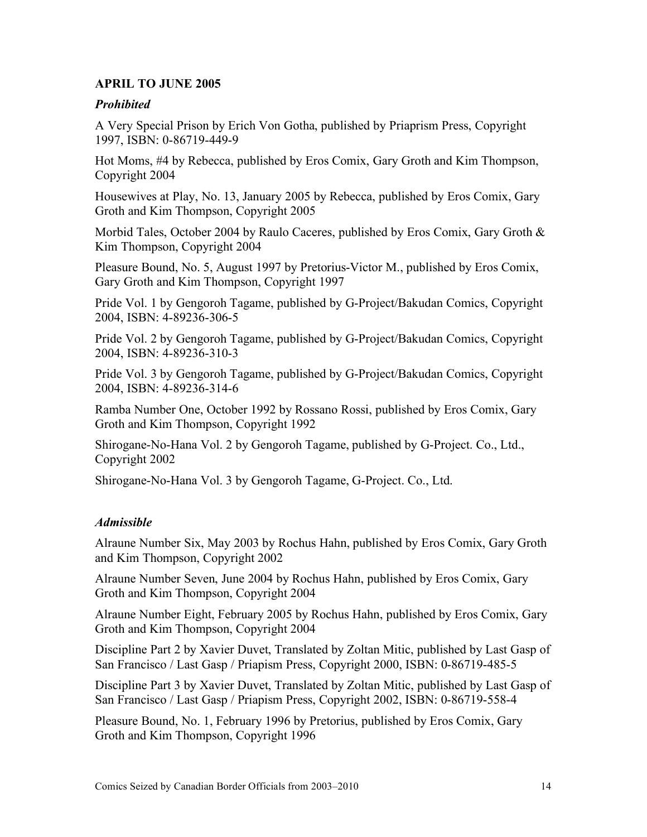### **APRIL TO JUNE 2005**

#### *Prohibited*

A Very Special Prison by Erich Von Gotha, published by Priaprism Press, Copyright 1997, ISBN: 0-86719-449-9

Hot Moms, #4 by Rebecca, published by Eros Comix, Gary Groth and Kim Thompson, Copyright 2004

Housewives at Play, No. 13, January 2005 by Rebecca, published by Eros Comix, Gary Groth and Kim Thompson, Copyright 2005

Morbid Tales, October 2004 by Raulo Caceres, published by Eros Comix, Gary Groth & Kim Thompson, Copyright 2004

Pleasure Bound, No. 5, August 1997 by Pretorius-Victor M., published by Eros Comix, Gary Groth and Kim Thompson, Copyright 1997

Pride Vol. 1 by Gengoroh Tagame, published by G-Project/Bakudan Comics, Copyright 2004, ISBN: 4-89236-306-5

Pride Vol. 2 by Gengoroh Tagame, published by G-Project/Bakudan Comics, Copyright 2004, ISBN: 4-89236-310-3

Pride Vol. 3 by Gengoroh Tagame, published by G-Project/Bakudan Comics, Copyright 2004, ISBN: 4-89236-314-6

Ramba Number One, October 1992 by Rossano Rossi, published by Eros Comix, Gary Groth and Kim Thompson, Copyright 1992

Shirogane-No-Hana Vol. 2 by Gengoroh Tagame, published by G-Project. Co., Ltd., Copyright 2002

Shirogane-No-Hana Vol. 3 by Gengoroh Tagame, G-Project. Co., Ltd.

# *Admissible*

Alraune Number Six, May 2003 by Rochus Hahn, published by Eros Comix, Gary Groth and Kim Thompson, Copyright 2002

Alraune Number Seven, June 2004 by Rochus Hahn, published by Eros Comix, Gary Groth and Kim Thompson, Copyright 2004

Alraune Number Eight, February 2005 by Rochus Hahn, published by Eros Comix, Gary Groth and Kim Thompson, Copyright 2004

Discipline Part 2 by Xavier Duvet, Translated by Zoltan Mitic, published by Last Gasp of San Francisco / Last Gasp / Priapism Press, Copyright 2000, ISBN: 0-86719-485-5

Discipline Part 3 by Xavier Duvet, Translated by Zoltan Mitic, published by Last Gasp of San Francisco / Last Gasp / Priapism Press, Copyright 2002, ISBN: 0-86719-558-4

Pleasure Bound, No. 1, February 1996 by Pretorius, published by Eros Comix, Gary Groth and Kim Thompson, Copyright 1996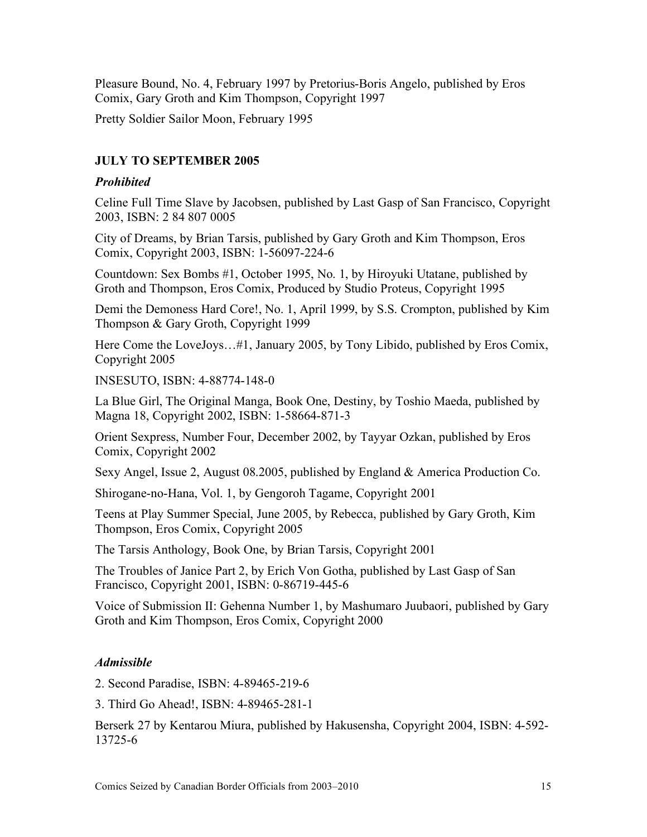Pleasure Bound, No. 4, February 1997 by Pretorius-Boris Angelo, published by Eros Comix, Gary Groth and Kim Thompson, Copyright 1997

Pretty Soldier Sailor Moon, February 1995

# **JULY TO SEPTEMBER 2005**

### *Prohibited*

Celine Full Time Slave by Jacobsen, published by Last Gasp of San Francisco, Copyright 2003, ISBN: 2 84 807 0005

City of Dreams, by Brian Tarsis, published by Gary Groth and Kim Thompson, Eros Comix, Copyright 2003, ISBN: 1-56097-224-6

Countdown: Sex Bombs #1, October 1995, No. 1, by Hiroyuki Utatane, published by Groth and Thompson, Eros Comix, Produced by Studio Proteus, Copyright 1995

Demi the Demoness Hard Core!, No. 1, April 1999, by S.S. Crompton, published by Kim Thompson & Gary Groth, Copyright 1999

Here Come the LoveJoys…#1, January 2005, by Tony Libido, published by Eros Comix, Copyright 2005

INSESUTO, ISBN: 4-88774-148-0

La Blue Girl, The Original Manga, Book One, Destiny, by Toshio Maeda, published by Magna 18, Copyright 2002, ISBN: 1-58664-871-3

Orient Sexpress, Number Four, December 2002, by Tayyar Ozkan, published by Eros Comix, Copyright 2002

Sexy Angel, Issue 2, August 08.2005, published by England & America Production Co.

Shirogane-no-Hana, Vol. 1, by Gengoroh Tagame, Copyright 2001

Teens at Play Summer Special, June 2005, by Rebecca, published by Gary Groth, Kim Thompson, Eros Comix, Copyright 2005

The Tarsis Anthology, Book One, by Brian Tarsis, Copyright 2001

The Troubles of Janice Part 2, by Erich Von Gotha, published by Last Gasp of San Francisco, Copyright 2001, ISBN: 0-86719-445-6

Voice of Submission II: Gehenna Number 1, by Mashumaro Juubaori, published by Gary Groth and Kim Thompson, Eros Comix, Copyright 2000

# *Admissible*

2. Second Paradise, ISBN: 4-89465-219-6

3. Third Go Ahead!, ISBN: 4-89465-281-1

Berserk 27 by Kentarou Miura, published by Hakusensha, Copyright 2004, ISBN: 4-592- 13725-6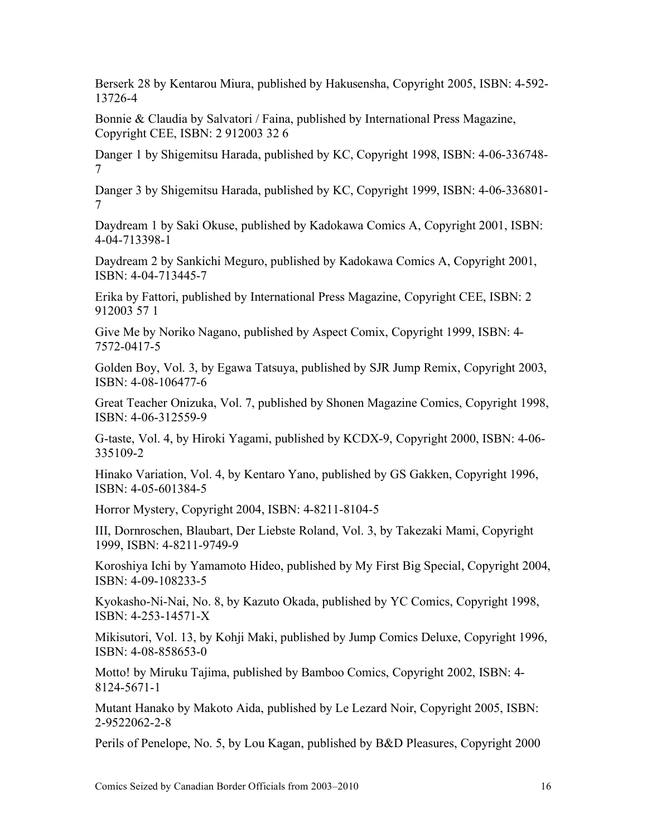Berserk 28 by Kentarou Miura, published by Hakusensha, Copyright 2005, ISBN: 4-592- 13726-4

Bonnie & Claudia by Salvatori / Faina, published by International Press Magazine, Copyright CEE, ISBN: 2 912003 32 6

Danger 1 by Shigemitsu Harada, published by KC, Copyright 1998, ISBN: 4-06-336748- 7

Danger 3 by Shigemitsu Harada, published by KC, Copyright 1999, ISBN: 4-06-336801- 7

Daydream 1 by Saki Okuse, published by Kadokawa Comics A, Copyright 2001, ISBN: 4-04-713398-1

Daydream 2 by Sankichi Meguro, published by Kadokawa Comics A, Copyright 2001, ISBN: 4-04-713445-7

Erika by Fattori, published by International Press Magazine, Copyright CEE, ISBN: 2 912003 57 1

Give Me by Noriko Nagano, published by Aspect Comix, Copyright 1999, ISBN: 4- 7572-0417-5

Golden Boy, Vol. 3, by Egawa Tatsuya, published by SJR Jump Remix, Copyright 2003, ISBN: 4-08-106477-6

Great Teacher Onizuka, Vol. 7, published by Shonen Magazine Comics, Copyright 1998, ISBN: 4-06-312559-9

G-taste, Vol. 4, by Hiroki Yagami, published by KCDX-9, Copyright 2000, ISBN: 4-06- 335109-2

Hinako Variation, Vol. 4, by Kentaro Yano, published by GS Gakken, Copyright 1996, ISBN: 4-05-601384-5

Horror Mystery, Copyright 2004, ISBN: 4-8211-8104-5

III, Dornroschen, Blaubart, Der Liebste Roland, Vol. 3, by Takezaki Mami, Copyright 1999, ISBN: 4-8211-9749-9

Koroshiya Ichi by Yamamoto Hideo, published by My First Big Special, Copyright 2004, ISBN: 4-09-108233-5

Kyokasho-Ni-Nai, No. 8, by Kazuto Okada, published by YC Comics, Copyright 1998, ISBN: 4-253-14571-X

Mikisutori, Vol. 13, by Kohji Maki, published by Jump Comics Deluxe, Copyright 1996, ISBN: 4-08-858653-0

Motto! by Miruku Tajima, published by Bamboo Comics, Copyright 2002, ISBN: 4- 8124-5671-1

Mutant Hanako by Makoto Aida, published by Le Lezard Noir, Copyright 2005, ISBN: 2-9522062-2-8

Perils of Penelope, No. 5, by Lou Kagan, published by B&D Pleasures, Copyright 2000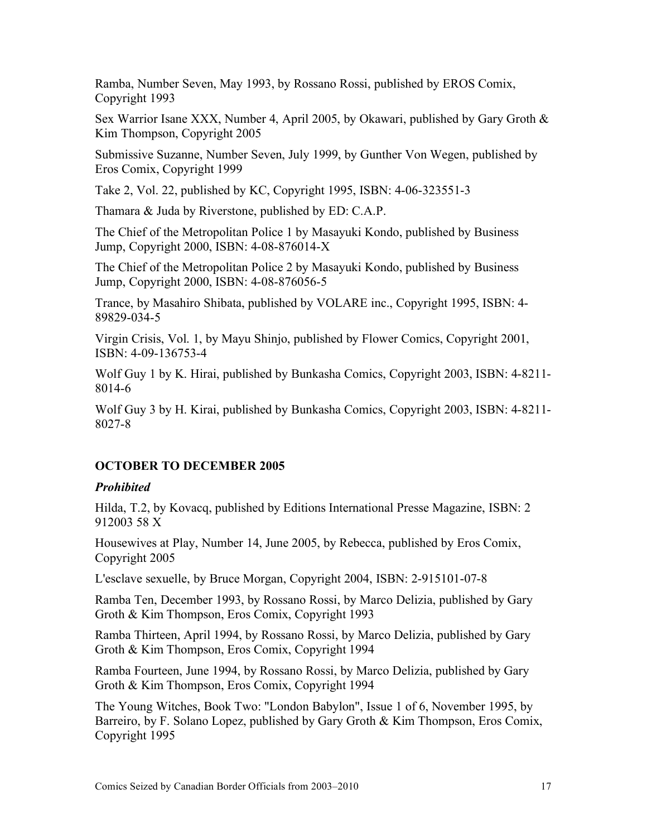Ramba, Number Seven, May 1993, by Rossano Rossi, published by EROS Comix, Copyright 1993

Sex Warrior Isane XXX, Number 4, April 2005, by Okawari, published by Gary Groth & Kim Thompson, Copyright 2005

Submissive Suzanne, Number Seven, July 1999, by Gunther Von Wegen, published by Eros Comix, Copyright 1999

Take 2, Vol. 22, published by KC, Copyright 1995, ISBN: 4-06-323551-3

Thamara & Juda by Riverstone, published by ED: C.A.P.

The Chief of the Metropolitan Police 1 by Masayuki Kondo, published by Business Jump, Copyright 2000, ISBN: 4-08-876014-X

The Chief of the Metropolitan Police 2 by Masayuki Kondo, published by Business Jump, Copyright 2000, ISBN: 4-08-876056-5

Trance, by Masahiro Shibata, published by VOLARE inc., Copyright 1995, ISBN: 4- 89829-034-5

Virgin Crisis, Vol. 1, by Mayu Shinjo, published by Flower Comics, Copyright 2001, ISBN: 4-09-136753-4

Wolf Guy 1 by K. Hirai, published by Bunkasha Comics, Copyright 2003, ISBN: 4-8211- 8014-6

Wolf Guy 3 by H. Kirai, published by Bunkasha Comics, Copyright 2003, ISBN: 4-8211- 8027-8

# **OCTOBER TO DECEMBER 2005**

#### *Prohibited*

Hilda, T.2, by Kovacq, published by Editions International Presse Magazine, ISBN: 2 912003 58 X

Housewives at Play, Number 14, June 2005, by Rebecca, published by Eros Comix, Copyright 2005

L'esclave sexuelle, by Bruce Morgan, Copyright 2004, ISBN: 2-915101-07-8

Ramba Ten, December 1993, by Rossano Rossi, by Marco Delizia, published by Gary Groth & Kim Thompson, Eros Comix, Copyright 1993

Ramba Thirteen, April 1994, by Rossano Rossi, by Marco Delizia, published by Gary Groth & Kim Thompson, Eros Comix, Copyright 1994

Ramba Fourteen, June 1994, by Rossano Rossi, by Marco Delizia, published by Gary Groth & Kim Thompson, Eros Comix, Copyright 1994

The Young Witches, Book Two: "London Babylon", Issue 1 of 6, November 1995, by Barreiro, by F. Solano Lopez, published by Gary Groth & Kim Thompson, Eros Comix, Copyright 1995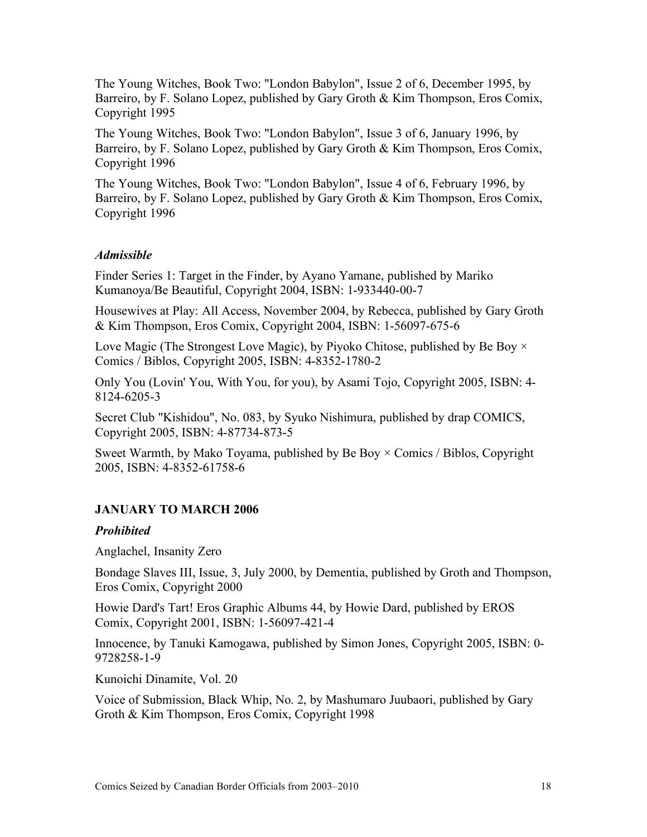The Young Witches, Book Two: "London Babylon", Issue 2 of 6, December 1995, by Barreiro, by F. Solano Lopez, published by Gary Groth & Kim Thompson, Eros Comix, Copyright 1995

The Young Witches, Book Two: "London Babylon", Issue 3 of 6, January 1996, by Barreiro, by F. Solano Lopez, published by Gary Groth & Kim Thompson, Eros Comix, Copyright 1996

The Young Witches, Book Two: "London Babylon", Issue 4 of 6, February 1996, by Barreiro, by F. Solano Lopez, published by Gary Groth & Kim Thompson, Eros Comix, Copyright 1996

### *Admissible*

Finder Series 1: Target in the Finder, by Ayano Yamane, published by Mariko Kumanoya/Be Beautiful, Copyright 2004, ISBN: 1-933440-00-7

Housewives at Play: All Access, November 2004, by Rebecca, published by Gary Groth & Kim Thompson, Eros Comix, Copyright 2004, ISBN: 1-56097-675-6

Love Magic (The Strongest Love Magic), by Piyoko Chitose, published by Be Boy  $\times$ Comics / Biblos, Copyright 2005, ISBN: 4-8352-1780-2

Only You (Lovin' You, With You, for you), by Asami Tojo, Copyright 2005, ISBN: 4- 8124-6205-3

Secret Club "Kishidou", No. 083, by Syuko Nishimura, published by drap COMICS, Copyright 2005, ISBN: 4-87734-873-5

Sweet Warmth, by Mako Toyama, published by Be Boy  $\times$  Comics / Biblos, Copyright 2005, ISBN: 4-8352-61758-6

# **JANUARY TO MARCH 2006**

#### *Prohibited*

Anglachel, Insanity Zero

Bondage Slaves III, Issue, 3, July 2000, by Dementia, published by Groth and Thompson, Eros Comix, Copyright 2000

Howie Dard's Tart! Eros Graphic Albums 44, by Howie Dard, published by EROS Comix, Copyright 2001, ISBN: 1-56097-421-4

Innocence, by Tanuki Kamogawa, published by Simon Jones, Copyright 2005, ISBN: 0- 9728258-1-9

Kunoichi Dinamite, Vol. 20

Voice of Submission, Black Whip, No. 2, by Mashumaro Juubaori, published by Gary Groth & Kim Thompson, Eros Comix, Copyright 1998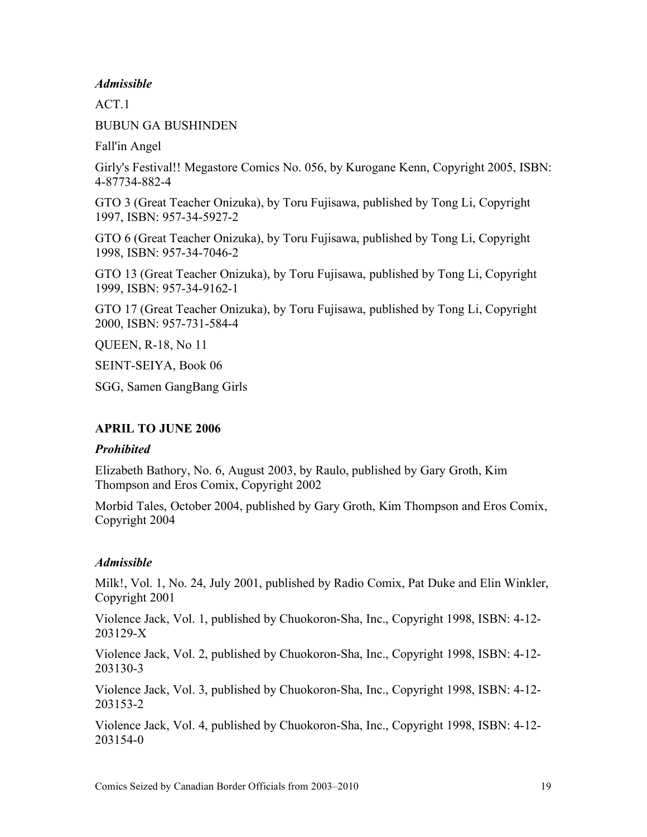#### *Admissible*

ACT<sub>1</sub>

BUBUN GA BUSHINDEN

Fall'in Angel

Girly's Festival!! Megastore Comics No. 056, by Kurogane Kenn, Copyright 2005, ISBN: 4-87734-882-4

GTO 3 (Great Teacher Onizuka), by Toru Fujisawa, published by Tong Li, Copyright 1997, ISBN: 957-34-5927-2

GTO 6 (Great Teacher Onizuka), by Toru Fujisawa, published by Tong Li, Copyright 1998, ISBN: 957-34-7046-2

GTO 13 (Great Teacher Onizuka), by Toru Fujisawa, published by Tong Li, Copyright 1999, ISBN: 957-34-9162-1

GTO 17 (Great Teacher Onizuka), by Toru Fujisawa, published by Tong Li, Copyright 2000, ISBN: 957-731-584-4

QUEEN, R-18, No 11

SEINT-SEIYA, Book 06

SGG, Samen GangBang Girls

#### **APRIL TO JUNE 2006**

#### *Prohibited*

Elizabeth Bathory, No. 6, August 2003, by Raulo, published by Gary Groth, Kim Thompson and Eros Comix, Copyright 2002

Morbid Tales, October 2004, published by Gary Groth, Kim Thompson and Eros Comix, Copyright 2004

#### *Admissible*

Milk!, Vol. 1, No. 24, July 2001, published by Radio Comix, Pat Duke and Elin Winkler, Copyright 2001

Violence Jack, Vol. 1, published by Chuokoron-Sha, Inc., Copyright 1998, ISBN: 4-12- 203129-X

Violence Jack, Vol. 2, published by Chuokoron-Sha, Inc., Copyright 1998, ISBN: 4-12- 203130-3

Violence Jack, Vol. 3, published by Chuokoron-Sha, Inc., Copyright 1998, ISBN: 4-12- 203153-2

Violence Jack, Vol. 4, published by Chuokoron-Sha, Inc., Copyright 1998, ISBN: 4-12- 203154-0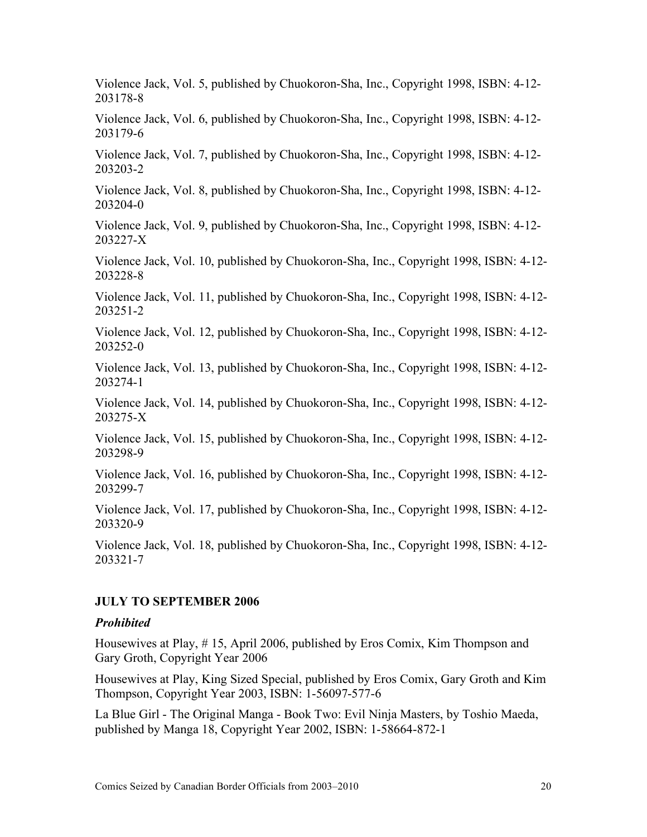Violence Jack, Vol. 5, published by Chuokoron-Sha, Inc., Copyright 1998, ISBN: 4-12- 203178-8

Violence Jack, Vol. 6, published by Chuokoron-Sha, Inc., Copyright 1998, ISBN: 4-12- 203179-6

Violence Jack, Vol. 7, published by Chuokoron-Sha, Inc., Copyright 1998, ISBN: 4-12- 203203-2

Violence Jack, Vol. 8, published by Chuokoron-Sha, Inc., Copyright 1998, ISBN: 4-12- 203204-0

Violence Jack, Vol. 9, published by Chuokoron-Sha, Inc., Copyright 1998, ISBN: 4-12- 203227-X

Violence Jack, Vol. 10, published by Chuokoron-Sha, Inc., Copyright 1998, ISBN: 4-12- 203228-8

Violence Jack, Vol. 11, published by Chuokoron-Sha, Inc., Copyright 1998, ISBN: 4-12- 203251-2

Violence Jack, Vol. 12, published by Chuokoron-Sha, Inc., Copyright 1998, ISBN: 4-12- 203252-0

Violence Jack, Vol. 13, published by Chuokoron-Sha, Inc., Copyright 1998, ISBN: 4-12- 203274-1

Violence Jack, Vol. 14, published by Chuokoron-Sha, Inc., Copyright 1998, ISBN: 4-12- 203275-X

Violence Jack, Vol. 15, published by Chuokoron-Sha, Inc., Copyright 1998, ISBN: 4-12- 203298-9

Violence Jack, Vol. 16, published by Chuokoron-Sha, Inc., Copyright 1998, ISBN: 4-12- 203299-7

Violence Jack, Vol. 17, published by Chuokoron-Sha, Inc., Copyright 1998, ISBN: 4-12- 203320-9

Violence Jack, Vol. 18, published by Chuokoron-Sha, Inc., Copyright 1998, ISBN: 4-12- 203321-7

#### **JULY TO SEPTEMBER 2006**

#### *Prohibited*

Housewives at Play, # 15, April 2006, published by Eros Comix, Kim Thompson and Gary Groth, Copyright Year 2006

Housewives at Play, King Sized Special, published by Eros Comix, Gary Groth and Kim Thompson, Copyright Year 2003, ISBN: 1-56097-577-6

La Blue Girl - The Original Manga - Book Two: Evil Ninja Masters, by Toshio Maeda, published by Manga 18, Copyright Year 2002, ISBN: 1-58664-872-1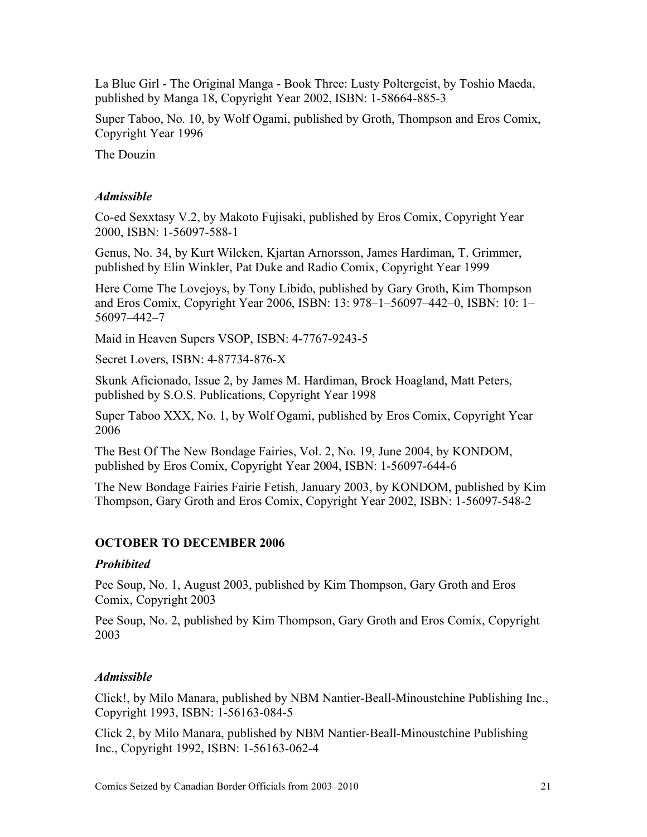La Blue Girl - The Original Manga - Book Three: Lusty Poltergeist, by Toshio Maeda, published by Manga 18, Copyright Year 2002, ISBN: 1-58664-885-3

Super Taboo, No. 10, by Wolf Ogami, published by Groth, Thompson and Eros Comix, Copyright Year 1996

The Douzin

### *Admissible*

Co-ed Sexxtasy V.2, by Makoto Fujisaki, published by Eros Comix, Copyright Year 2000, ISBN: 1-56097-588-1

Genus, No. 34, by Kurt Wilcken, Kjartan Arnorsson, James Hardiman, T. Grimmer, published by Elin Winkler, Pat Duke and Radio Comix, Copyright Year 1999

Here Come The Lovejoys, by Tony Libido, published by Gary Groth, Kim Thompson and Eros Comix, Copyright Year 2006, ISBN: 13: 978–1–56097–442–0, ISBN: 10: 1– 56097–442–7

Maid in Heaven Supers VSOP, ISBN: 4-7767-9243-5

Secret Lovers, ISBN: 4-87734-876-X

Skunk Aficionado, Issue 2, by James M. Hardiman, Brock Hoagland, Matt Peters, published by S.O.S. Publications, Copyright Year 1998

Super Taboo XXX, No. 1, by Wolf Ogami, published by Eros Comix, Copyright Year 2006

The Best Of The New Bondage Fairies, Vol. 2, No. 19, June 2004, by KONDOM, published by Eros Comix, Copyright Year 2004, ISBN: 1-56097-644-6

The New Bondage Fairies Fairie Fetish, January 2003, by KONDOM, published by Kim Thompson, Gary Groth and Eros Comix, Copyright Year 2002, ISBN: 1-56097-548-2

# **OCTOBER TO DECEMBER 2006**

# *Prohibited*

Pee Soup, No. 1, August 2003, published by Kim Thompson, Gary Groth and Eros Comix, Copyright 2003

Pee Soup, No. 2, published by Kim Thompson, Gary Groth and Eros Comix, Copyright 2003

# *Admissible*

Click!, by Milo Manara, published by NBM Nantier-Beall-Minoustchine Publishing Inc., Copyright 1993, ISBN: 1-56163-084-5

Click 2, by Milo Manara, published by NBM Nantier-Beall-Minoustchine Publishing Inc., Copyright 1992, ISBN: 1-56163-062-4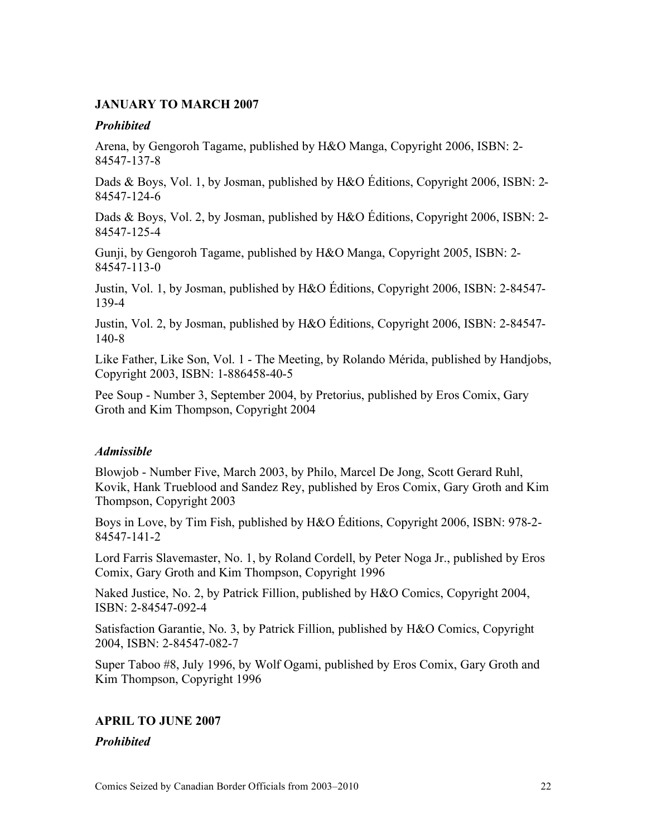#### **JANUARY TO MARCH 2007**

#### *Prohibited*

Arena, by Gengoroh Tagame, published by H&O Manga, Copyright 2006, ISBN: 2- 84547-137-8

Dads & Boys, Vol. 1, by Josman, published by H&O Éditions, Copyright 2006, ISBN: 2- 84547-124-6

Dads & Boys, Vol. 2, by Josman, published by H&O Éditions, Copyright 2006, ISBN: 2- 84547-125-4

Gunji, by Gengoroh Tagame, published by H&O Manga, Copyright 2005, ISBN: 2- 84547-113-0

Justin, Vol. 1, by Josman, published by H&O Éditions, Copyright 2006, ISBN: 2-84547- 139-4

Justin, Vol. 2, by Josman, published by H&O Éditions, Copyright 2006, ISBN: 2-84547- 140-8

Like Father, Like Son, Vol. 1 - The Meeting, by Rolando Mérida, published by Handjobs, Copyright 2003, ISBN: 1-886458-40-5

Pee Soup - Number 3, September 2004, by Pretorius, published by Eros Comix, Gary Groth and Kim Thompson, Copyright 2004

#### *Admissible*

Blowjob - Number Five, March 2003, by Philo, Marcel De Jong, Scott Gerard Ruhl, Kovik, Hank Trueblood and Sandez Rey, published by Eros Comix, Gary Groth and Kim Thompson, Copyright 2003

Boys in Love, by Tim Fish, published by H&O Éditions, Copyright 2006, ISBN: 978-2- 84547-141-2

Lord Farris Slavemaster, No. 1, by Roland Cordell, by Peter Noga Jr., published by Eros Comix, Gary Groth and Kim Thompson, Copyright 1996

Naked Justice, No. 2, by Patrick Fillion, published by H&O Comics, Copyright 2004, ISBN: 2-84547-092-4

Satisfaction Garantie, No. 3, by Patrick Fillion, published by H&O Comics, Copyright 2004, ISBN: 2-84547-082-7

Super Taboo #8, July 1996, by Wolf Ogami, published by Eros Comix, Gary Groth and Kim Thompson, Copyright 1996

# **APRIL TO JUNE 2007**

*Prohibited*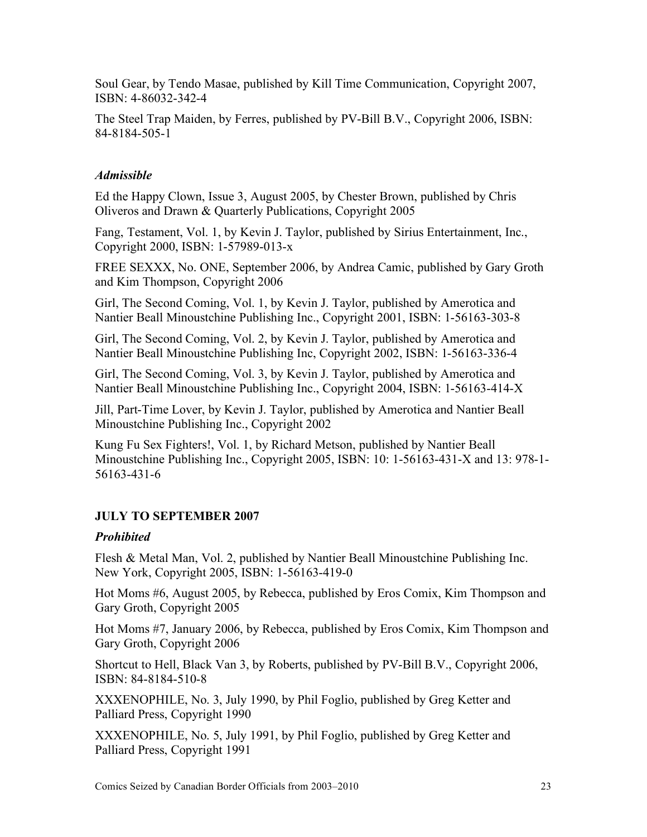Soul Gear, by Tendo Masae, published by Kill Time Communication, Copyright 2007, ISBN: 4-86032-342-4

The Steel Trap Maiden, by Ferres, published by PV-Bill B.V., Copyright 2006, ISBN: 84-8184-505-1

# *Admissible*

Ed the Happy Clown, Issue 3, August 2005, by Chester Brown, published by Chris Oliveros and Drawn & Quarterly Publications, Copyright 2005

Fang, Testament, Vol. 1, by Kevin J. Taylor, published by Sirius Entertainment, Inc., Copyright 2000, ISBN: 1-57989-013-x

FREE SEXXX, No. ONE, September 2006, by Andrea Camic, published by Gary Groth and Kim Thompson, Copyright 2006

Girl, The Second Coming, Vol. 1, by Kevin J. Taylor, published by Amerotica and Nantier Beall Minoustchine Publishing Inc., Copyright 2001, ISBN: 1-56163-303-8

Girl, The Second Coming, Vol. 2, by Kevin J. Taylor, published by Amerotica and Nantier Beall Minoustchine Publishing Inc, Copyright 2002, ISBN: 1-56163-336-4

Girl, The Second Coming, Vol. 3, by Kevin J. Taylor, published by Amerotica and Nantier Beall Minoustchine Publishing Inc., Copyright 2004, ISBN: 1-56163-414-X

Jill, Part-Time Lover, by Kevin J. Taylor, published by Amerotica and Nantier Beall Minoustchine Publishing Inc., Copyright 2002

Kung Fu Sex Fighters!, Vol. 1, by Richard Metson, published by Nantier Beall Minoustchine Publishing Inc., Copyright 2005, ISBN: 10: 1-56163-431-X and 13: 978-1- 56163-431-6

# **JULY TO SEPTEMBER 2007**

# *Prohibited*

Flesh & Metal Man, Vol. 2, published by Nantier Beall Minoustchine Publishing Inc. New York, Copyright 2005, ISBN: 1-56163-419-0

Hot Moms #6, August 2005, by Rebecca, published by Eros Comix, Kim Thompson and Gary Groth, Copyright 2005

Hot Moms #7, January 2006, by Rebecca, published by Eros Comix, Kim Thompson and Gary Groth, Copyright 2006

Shortcut to Hell, Black Van 3, by Roberts, published by PV-Bill B.V., Copyright 2006, ISBN: 84-8184-510-8

XXXENOPHILE, No. 3, July 1990, by Phil Foglio, published by Greg Ketter and Palliard Press, Copyright 1990

XXXENOPHILE, No. 5, July 1991, by Phil Foglio, published by Greg Ketter and Palliard Press, Copyright 1991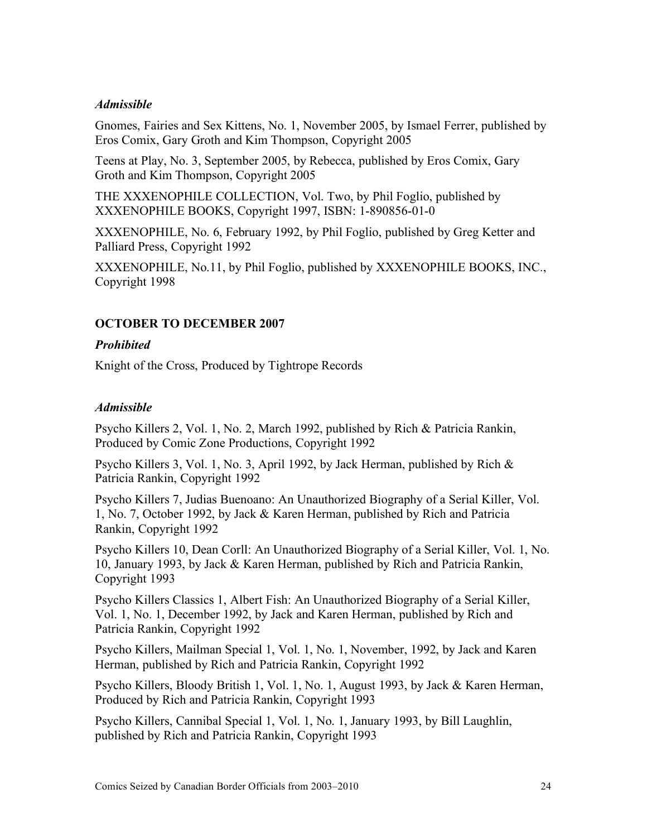#### *Admissible*

Gnomes, Fairies and Sex Kittens, No. 1, November 2005, by Ismael Ferrer, published by Eros Comix, Gary Groth and Kim Thompson, Copyright 2005

Teens at Play, No. 3, September 2005, by Rebecca, published by Eros Comix, Gary Groth and Kim Thompson, Copyright 2005

THE XXXENOPHILE COLLECTION, Vol. Two, by Phil Foglio, published by XXXENOPHILE BOOKS, Copyright 1997, ISBN: 1-890856-01-0

XXXENOPHILE, No. 6, February 1992, by Phil Foglio, published by Greg Ketter and Palliard Press, Copyright 1992

XXXENOPHILE, No.11, by Phil Foglio, published by XXXENOPHILE BOOKS, INC., Copyright 1998

# **OCTOBER TO DECEMBER 2007**

#### *Prohibited*

Knight of the Cross, Produced by Tightrope Records

### *Admissible*

Psycho Killers 2, Vol. 1, No. 2, March 1992, published by Rich & Patricia Rankin, Produced by Comic Zone Productions, Copyright 1992

Psycho Killers 3, Vol. 1, No. 3, April 1992, by Jack Herman, published by Rich & Patricia Rankin, Copyright 1992

Psycho Killers 7, Judias Buenoano: An Unauthorized Biography of a Serial Killer, Vol. 1, No. 7, October 1992, by Jack & Karen Herman, published by Rich and Patricia Rankin, Copyright 1992

Psycho Killers 10, Dean Corll: An Unauthorized Biography of a Serial Killer, Vol. 1, No. 10, January 1993, by Jack & Karen Herman, published by Rich and Patricia Rankin, Copyright 1993

Psycho Killers Classics 1, Albert Fish: An Unauthorized Biography of a Serial Killer, Vol. 1, No. 1, December 1992, by Jack and Karen Herman, published by Rich and Patricia Rankin, Copyright 1992

Psycho Killers, Mailman Special 1, Vol. 1, No. 1, November, 1992, by Jack and Karen Herman, published by Rich and Patricia Rankin, Copyright 1992

Psycho Killers, Bloody British 1, Vol. 1, No. 1, August 1993, by Jack & Karen Herman, Produced by Rich and Patricia Rankin, Copyright 1993

Psycho Killers, Cannibal Special 1, Vol. 1, No. 1, January 1993, by Bill Laughlin, published by Rich and Patricia Rankin, Copyright 1993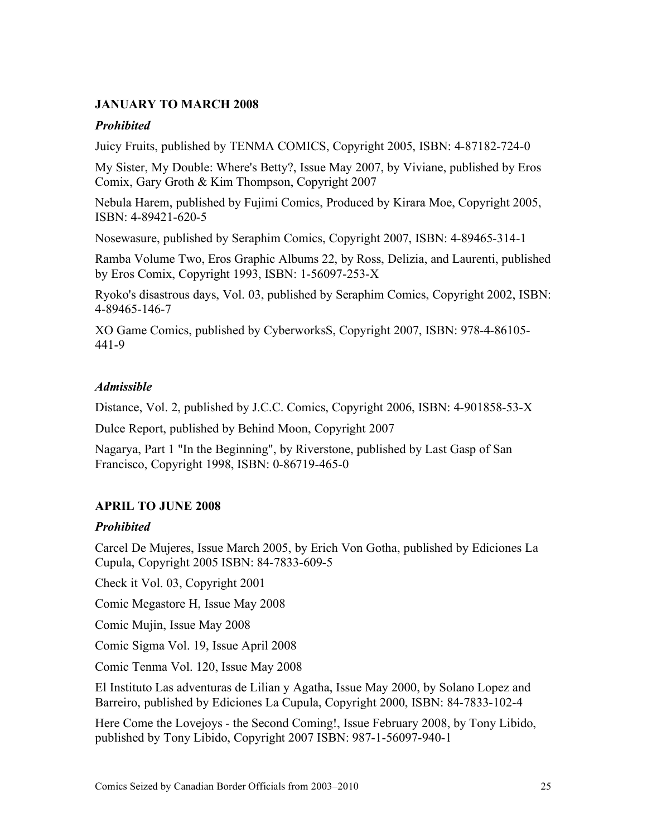# **JANUARY TO MARCH 2008**

# *Prohibited*

Juicy Fruits, published by TENMA COMICS, Copyright 2005, ISBN: 4-87182-724-0

My Sister, My Double: Where's Betty?, Issue May 2007, by Viviane, published by Eros Comix, Gary Groth & Kim Thompson, Copyright 2007

Nebula Harem, published by Fujimi Comics, Produced by Kirara Moe, Copyright 2005, ISBN: 4-89421-620-5

Nosewasure, published by Seraphim Comics, Copyright 2007, ISBN: 4-89465-314-1

Ramba Volume Two, Eros Graphic Albums 22, by Ross, Delizia, and Laurenti, published by Eros Comix, Copyright 1993, ISBN: 1-56097-253-X

Ryoko's disastrous days, Vol. 03, published by Seraphim Comics, Copyright 2002, ISBN: 4-89465-146-7

XO Game Comics, published by CyberworksS, Copyright 2007, ISBN: 978-4-86105- 441-9

# *Admissible*

Distance, Vol. 2, published by J.C.C. Comics, Copyright 2006, ISBN: 4-901858-53-X

Dulce Report, published by Behind Moon, Copyright 2007

Nagarya, Part 1 "In the Beginning", by Riverstone, published by Last Gasp of San Francisco, Copyright 1998, ISBN: 0-86719-465-0

# **APRIL TO JUNE 2008**

# *Prohibited*

Carcel De Mujeres, Issue March 2005, by Erich Von Gotha, published by Ediciones La Cupula, Copyright 2005 ISBN: 84-7833-609-5

Check it Vol. 03, Copyright 2001

Comic Megastore H, Issue May 2008

Comic Mujin, Issue May 2008

Comic Sigma Vol. 19, Issue April 2008

Comic Tenma Vol. 120, Issue May 2008

El Instituto Las adventuras de Lilian y Agatha, Issue May 2000, by Solano Lopez and Barreiro, published by Ediciones La Cupula, Copyright 2000, ISBN: 84-7833-102-4

Here Come the Lovejoys - the Second Coming!, Issue February 2008, by Tony Libido, published by Tony Libido, Copyright 2007 ISBN: 987-1-56097-940-1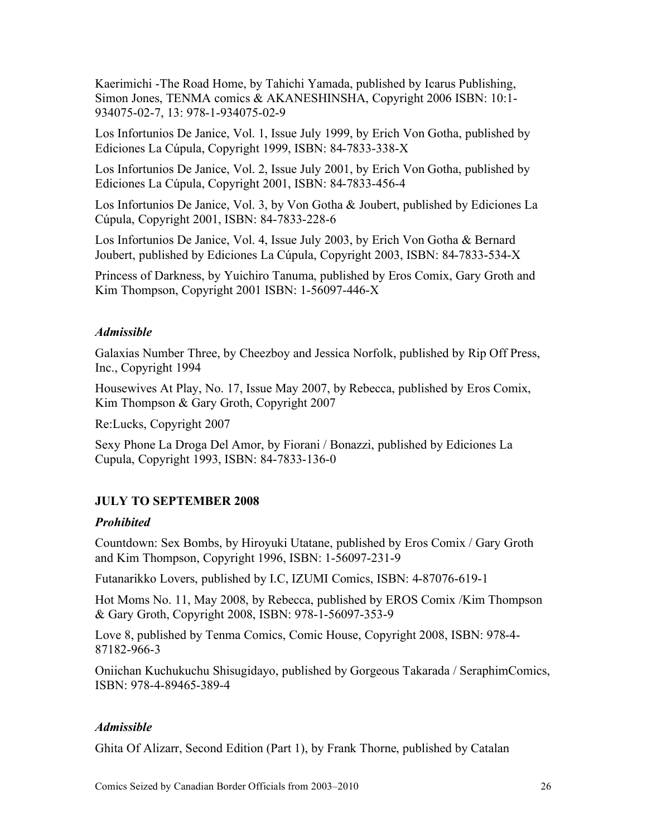Kaerimichi -The Road Home, by Tahichi Yamada, published by Icarus Publishing, Simon Jones, TENMA comics & AKANESHINSHA, Copyright 2006 ISBN: 10:1- 934075-02-7, 13: 978-1-934075-02-9

Los Infortunios De Janice, Vol. 1, Issue July 1999, by Erich Von Gotha, published by Ediciones La Cúpula, Copyright 1999, ISBN: 84-7833-338-X

Los Infortunios De Janice, Vol. 2, Issue July 2001, by Erich Von Gotha, published by Ediciones La Cúpula, Copyright 2001, ISBN: 84-7833-456-4

Los Infortunios De Janice, Vol. 3, by Von Gotha & Joubert, published by Ediciones La Cúpula, Copyright 2001, ISBN: 84-7833-228-6

Los Infortunios De Janice, Vol. 4, Issue July 2003, by Erich Von Gotha & Bernard Joubert, published by Ediciones La Cúpula, Copyright 2003, ISBN: 84-7833-534-X

Princess of Darkness, by Yuichiro Tanuma, published by Eros Comix, Gary Groth and Kim Thompson, Copyright 2001 ISBN: 1-56097-446-X

### *Admissible*

Galaxias Number Three, by Cheezboy and Jessica Norfolk, published by Rip Off Press, Inc., Copyright 1994

Housewives At Play, No. 17, Issue May 2007, by Rebecca, published by Eros Comix, Kim Thompson & Gary Groth, Copyright 2007

Re:Lucks, Copyright 2007

Sexy Phone La Droga Del Amor, by Fiorani / Bonazzi, published by Ediciones La Cupula, Copyright 1993, ISBN: 84-7833-136-0

# **JULY TO SEPTEMBER 2008**

#### *Prohibited*

Countdown: Sex Bombs, by Hiroyuki Utatane, published by Eros Comix / Gary Groth and Kim Thompson, Copyright 1996, ISBN: 1-56097-231-9

Futanarikko Lovers, published by I.C, IZUMI Comics, ISBN: 4-87076-619-1

Hot Moms No. 11, May 2008, by Rebecca, published by EROS Comix /Kim Thompson & Gary Groth, Copyright 2008, ISBN: 978-1-56097-353-9

Love 8, published by Tenma Comics, Comic House, Copyright 2008, ISBN: 978-4- 87182-966-3

Oniichan Kuchukuchu Shisugidayo, published by Gorgeous Takarada / SeraphimComics, ISBN: 978-4-89465-389-4

#### *Admissible*

Ghita Of Alizarr, Second Edition (Part 1), by Frank Thorne, published by Catalan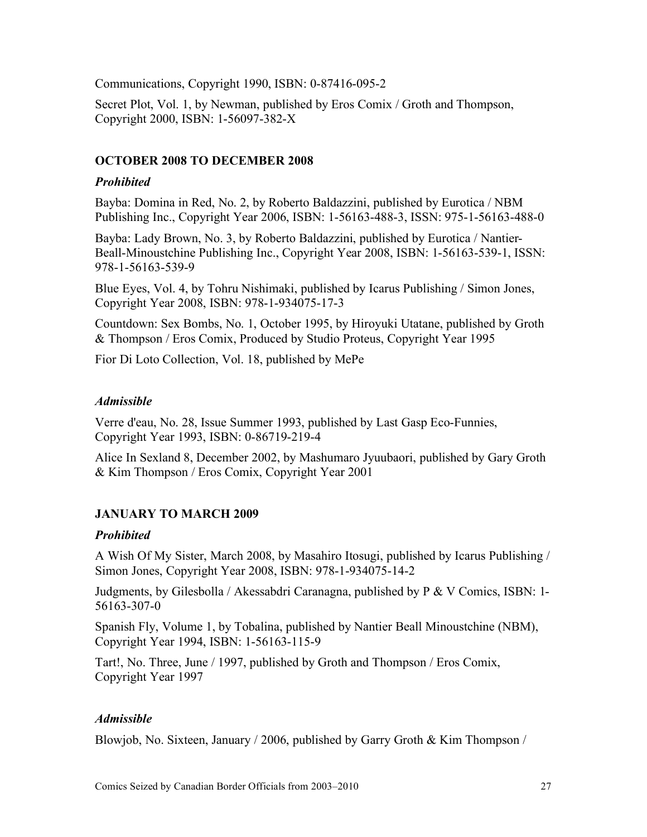Communications, Copyright 1990, ISBN: 0-87416-095-2

Secret Plot, Vol. 1, by Newman, published by Eros Comix / Groth and Thompson, Copyright 2000, ISBN: 1-56097-382-X

# **OCTOBER 2008 TO DECEMBER 2008**

# *Prohibited*

Bayba: Domina in Red, No. 2, by Roberto Baldazzini, published by Eurotica / NBM Publishing Inc., Copyright Year 2006, ISBN: 1-56163-488-3, ISSN: 975-1-56163-488-0

Bayba: Lady Brown, No. 3, by Roberto Baldazzini, published by Eurotica / Nantier-Beall-Minoustchine Publishing Inc., Copyright Year 2008, ISBN: 1-56163-539-1, ISSN: 978-1-56163-539-9

Blue Eyes, Vol. 4, by Tohru Nishimaki, published by Icarus Publishing / Simon Jones, Copyright Year 2008, ISBN: 978-1-934075-17-3

Countdown: Sex Bombs, No. 1, October 1995, by Hiroyuki Utatane, published by Groth & Thompson / Eros Comix, Produced by Studio Proteus, Copyright Year 1995

Fior Di Loto Collection, Vol. 18, published by MePe

# *Admissible*

Verre d'eau, No. 28, Issue Summer 1993, published by Last Gasp Eco-Funnies, Copyright Year 1993, ISBN: 0-86719-219-4

Alice In Sexland 8, December 2002, by Mashumaro Jyuubaori, published by Gary Groth & Kim Thompson / Eros Comix, Copyright Year 2001

# **JANUARY TO MARCH 2009**

# *Prohibited*

A Wish Of My Sister, March 2008, by Masahiro Itosugi, published by Icarus Publishing / Simon Jones, Copyright Year 2008, ISBN: 978-1-934075-14-2

Judgments, by Gilesbolla / Akessabdri Caranagna, published by P & V Comics, ISBN: 1- 56163-307-0

Spanish Fly, Volume 1, by Tobalina, published by Nantier Beall Minoustchine (NBM), Copyright Year 1994, ISBN: 1-56163-115-9

Tart!, No. Three, June / 1997, published by Groth and Thompson / Eros Comix, Copyright Year 1997

# *Admissible*

Blowjob, No. Sixteen, January / 2006, published by Garry Groth & Kim Thompson /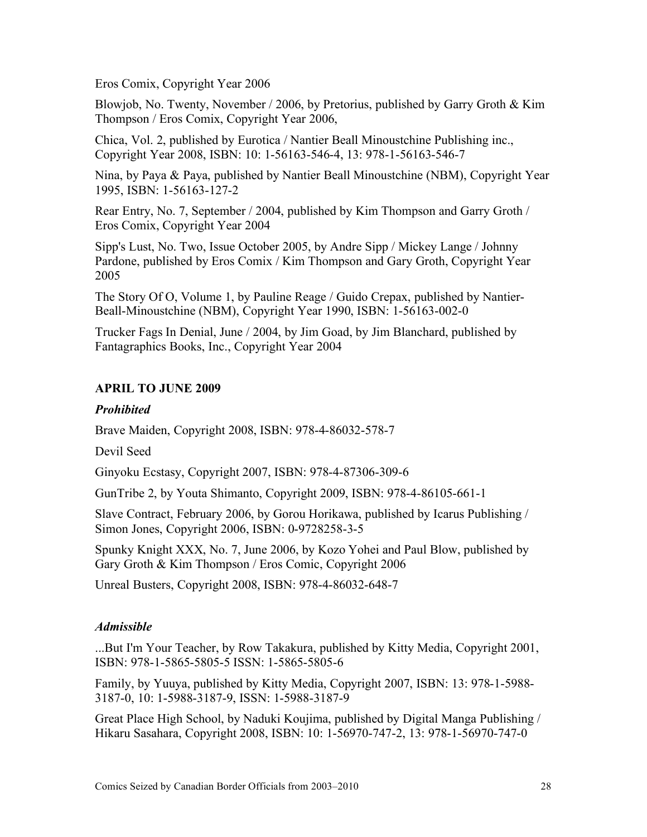Eros Comix, Copyright Year 2006

Blowjob, No. Twenty, November / 2006, by Pretorius, published by Garry Groth & Kim Thompson / Eros Comix, Copyright Year 2006,

Chica, Vol. 2, published by Eurotica / Nantier Beall Minoustchine Publishing inc., Copyright Year 2008, ISBN: 10: 1-56163-546-4, 13: 978-1-56163-546-7

Nina, by Paya & Paya, published by Nantier Beall Minoustchine (NBM), Copyright Year 1995, ISBN: 1-56163-127-2

Rear Entry, No. 7, September / 2004, published by Kim Thompson and Garry Groth / Eros Comix, Copyright Year 2004

Sipp's Lust, No. Two, Issue October 2005, by Andre Sipp / Mickey Lange / Johnny Pardone, published by Eros Comix / Kim Thompson and Gary Groth, Copyright Year 2005

The Story Of O, Volume 1, by Pauline Reage / Guido Crepax, published by Nantier-Beall-Minoustchine (NBM), Copyright Year 1990, ISBN: 1-56163-002-0

Trucker Fags In Denial, June / 2004, by Jim Goad, by Jim Blanchard, published by Fantagraphics Books, Inc., Copyright Year 2004

# **APRIL TO JUNE 2009**

# *Prohibited*

Brave Maiden, Copyright 2008, ISBN: 978-4-86032-578-7

Devil Seed

Ginyoku Ecstasy, Copyright 2007, ISBN: 978-4-87306-309-6

GunTribe 2, by Youta Shimanto, Copyright 2009, ISBN: 978-4-86105-661-1

Slave Contract, February 2006, by Gorou Horikawa, published by Icarus Publishing / Simon Jones, Copyright 2006, ISBN: 0-9728258-3-5

Spunky Knight XXX, No. 7, June 2006, by Kozo Yohei and Paul Blow, published by Gary Groth & Kim Thompson / Eros Comic, Copyright 2006

Unreal Busters, Copyright 2008, ISBN: 978-4-86032-648-7

# *Admissible*

...But I'm Your Teacher, by Row Takakura, published by Kitty Media, Copyright 2001, ISBN: 978-1-5865-5805-5 ISSN: 1-5865-5805-6

Family, by Yuuya, published by Kitty Media, Copyright 2007, ISBN: 13: 978-1-5988- 3187-0, 10: 1-5988-3187-9, ISSN: 1-5988-3187-9

Great Place High School, by Naduki Koujima, published by Digital Manga Publishing / Hikaru Sasahara, Copyright 2008, ISBN: 10: 1-56970-747-2, 13: 978-1-56970-747-0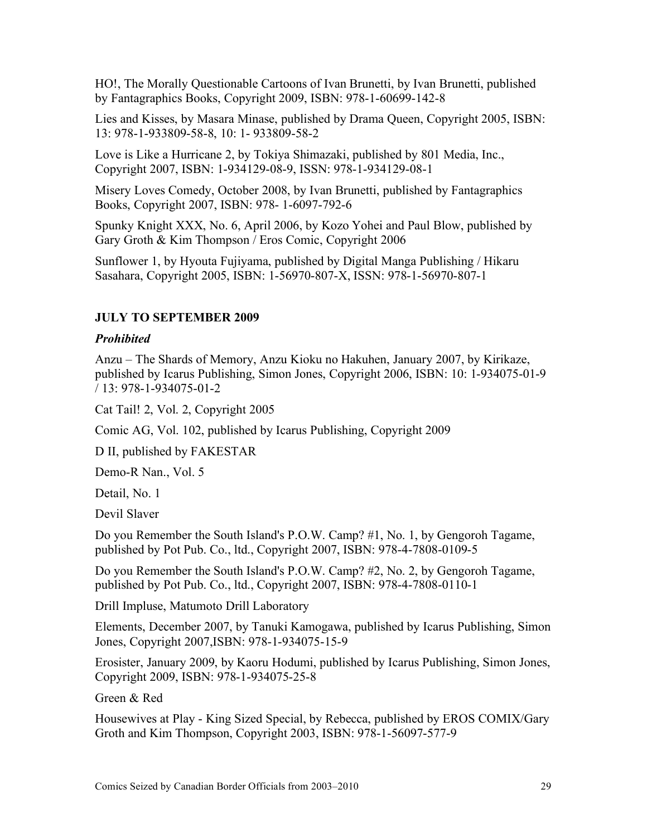HO!, The Morally Questionable Cartoons of Ivan Brunetti, by Ivan Brunetti, published by Fantagraphics Books, Copyright 2009, ISBN: 978-1-60699-142-8

Lies and Kisses, by Masara Minase, published by Drama Queen, Copyright 2005, ISBN: 13: 978-1-933809-58-8, 10: 1- 933809-58-2

Love is Like a Hurricane 2, by Tokiya Shimazaki, published by 801 Media, Inc., Copyright 2007, ISBN: 1-934129-08-9, ISSN: 978-1-934129-08-1

Misery Loves Comedy, October 2008, by Ivan Brunetti, published by Fantagraphics Books, Copyright 2007, ISBN: 978- 1-6097-792-6

Spunky Knight XXX, No. 6, April 2006, by Kozo Yohei and Paul Blow, published by Gary Groth & Kim Thompson / Eros Comic, Copyright 2006

Sunflower 1, by Hyouta Fujiyama, published by Digital Manga Publishing / Hikaru Sasahara, Copyright 2005, ISBN: 1-56970-807-X, ISSN: 978-1-56970-807-1

### **JULY TO SEPTEMBER 2009**

#### *Prohibited*

Anzu – The Shards of Memory, Anzu Kioku no Hakuhen, January 2007, by Kirikaze, published by Icarus Publishing, Simon Jones, Copyright 2006, ISBN: 10: 1-934075-01-9 / 13: 978-1-934075-01-2

Cat Tail! 2, Vol. 2, Copyright 2005

Comic AG, Vol. 102, published by Icarus Publishing, Copyright 2009

D II, published by FAKESTAR

Demo-R Nan., Vol. 5

Detail, No. 1

Devil Slaver

Do you Remember the South Island's P.O.W. Camp? #1, No. 1, by Gengoroh Tagame, published by Pot Pub. Co., ltd., Copyright 2007, ISBN: 978-4-7808-0109-5

Do you Remember the South Island's P.O.W. Camp? #2, No. 2, by Gengoroh Tagame, published by Pot Pub. Co., ltd., Copyright 2007, ISBN: 978-4-7808-0110-1

Drill Impluse, Matumoto Drill Laboratory

Elements, December 2007, by Tanuki Kamogawa, published by Icarus Publishing, Simon Jones, Copyright 2007,ISBN: 978-1-934075-15-9

Erosister, January 2009, by Kaoru Hodumi, published by Icarus Publishing, Simon Jones, Copyright 2009, ISBN: 978-1-934075-25-8

Green & Red

Housewives at Play - King Sized Special, by Rebecca, published by EROS COMIX/Gary Groth and Kim Thompson, Copyright 2003, ISBN: 978-1-56097-577-9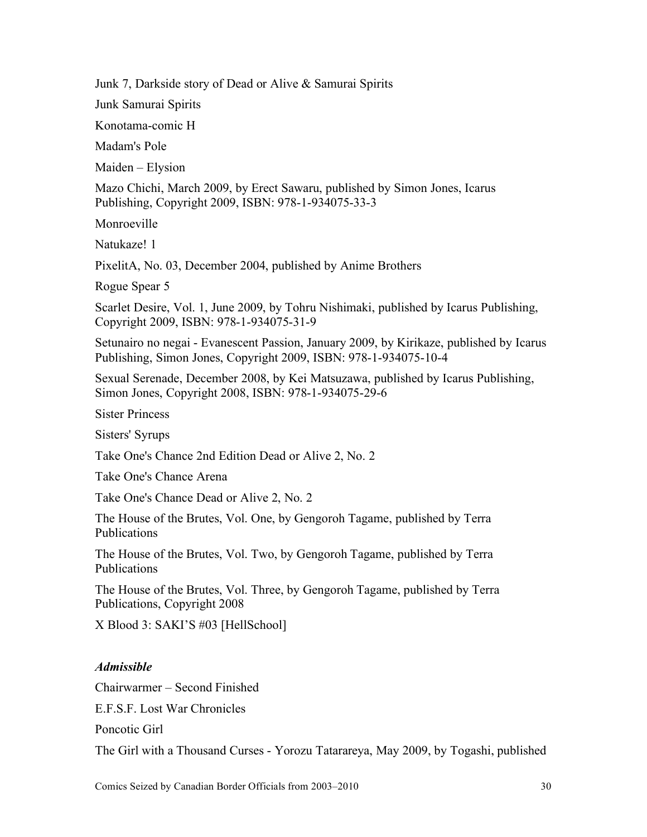Junk 7, Darkside story of Dead or Alive & Samurai Spirits

Junk Samurai Spirits

Konotama-comic H

Madam's Pole

Maiden – Elysion

Mazo Chichi, March 2009, by Erect Sawaru, published by Simon Jones, Icarus Publishing, Copyright 2009, ISBN: 978-1-934075-33-3

Monroeville

Natukaze! 1

PixelitA, No. 03, December 2004, published by Anime Brothers

Rogue Spear 5

Scarlet Desire, Vol. 1, June 2009, by Tohru Nishimaki, published by Icarus Publishing, Copyright 2009, ISBN: 978-1-934075-31-9

Setunairo no negai - Evanescent Passion, January 2009, by Kirikaze, published by Icarus Publishing, Simon Jones, Copyright 2009, ISBN: 978-1-934075-10-4

Sexual Serenade, December 2008, by Kei Matsuzawa, published by Icarus Publishing, Simon Jones, Copyright 2008, ISBN: 978-1-934075-29-6

Sister Princess

Sisters' Syrups

Take One's Chance 2nd Edition Dead or Alive 2, No. 2

Take One's Chance Arena

Take One's Chance Dead or Alive 2, No. 2

The House of the Brutes, Vol. One, by Gengoroh Tagame, published by Terra Publications

The House of the Brutes, Vol. Two, by Gengoroh Tagame, published by Terra Publications

The House of the Brutes, Vol. Three, by Gengoroh Tagame, published by Terra Publications, Copyright 2008

X Blood 3: SAKI'S #03 [HellSchool]

# *Admissible*

Chairwarmer – Second Finished

E.F.S.F. Lost War Chronicles

Poncotic Girl

The Girl with a Thousand Curses - Yorozu Tatarareya, May 2009, by Togashi, published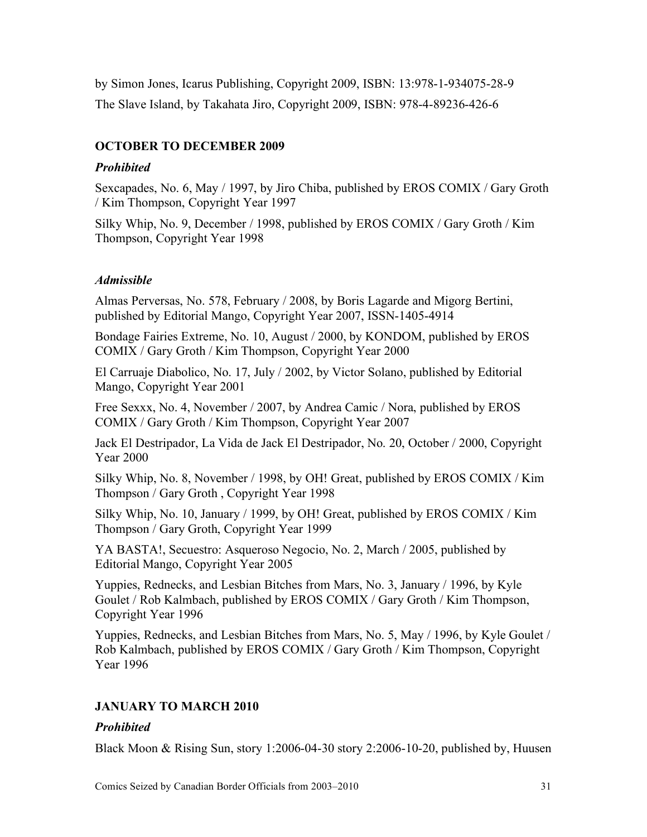by Simon Jones, Icarus Publishing, Copyright 2009, ISBN: 13:978-1-934075-28-9 The Slave Island, by Takahata Jiro, Copyright 2009, ISBN: 978-4-89236-426-6

# **OCTOBER TO DECEMBER 2009**

### *Prohibited*

Sexcapades, No. 6, May / 1997, by Jiro Chiba, published by EROS COMIX / Gary Groth / Kim Thompson, Copyright Year 1997

Silky Whip, No. 9, December / 1998, published by EROS COMIX / Gary Groth / Kim Thompson, Copyright Year 1998

# *Admissible*

Almas Perversas, No. 578, February / 2008, by Boris Lagarde and Migorg Bertini, published by Editorial Mango, Copyright Year 2007, ISSN-1405-4914

Bondage Fairies Extreme, No. 10, August / 2000, by KONDOM, published by EROS COMIX / Gary Groth / Kim Thompson, Copyright Year 2000

El Carruaje Diabolico, No. 17, July / 2002, by Victor Solano, published by Editorial Mango, Copyright Year 2001

Free Sexxx, No. 4, November / 2007, by Andrea Camic / Nora, published by EROS COMIX / Gary Groth / Kim Thompson, Copyright Year 2007

Jack El Destripador, La Vida de Jack El Destripador, No. 20, October / 2000, Copyright Year 2000

Silky Whip, No. 8, November / 1998, by OH! Great, published by EROS COMIX / Kim Thompson / Gary Groth , Copyright Year 1998

Silky Whip, No. 10, January / 1999, by OH! Great, published by EROS COMIX / Kim Thompson / Gary Groth, Copyright Year 1999

YA BASTA!, Secuestro: Asqueroso Negocio, No. 2, March / 2005, published by Editorial Mango, Copyright Year 2005

Yuppies, Rednecks, and Lesbian Bitches from Mars, No. 3, January / 1996, by Kyle Goulet / Rob Kalmbach, published by EROS COMIX / Gary Groth / Kim Thompson, Copyright Year 1996

Yuppies, Rednecks, and Lesbian Bitches from Mars, No. 5, May / 1996, by Kyle Goulet / Rob Kalmbach, published by EROS COMIX / Gary Groth / Kim Thompson, Copyright Year 1996

# **JANUARY TO MARCH 2010**

# *Prohibited*

Black Moon & Rising Sun, story 1:2006-04-30 story 2:2006-10-20, published by, Huusen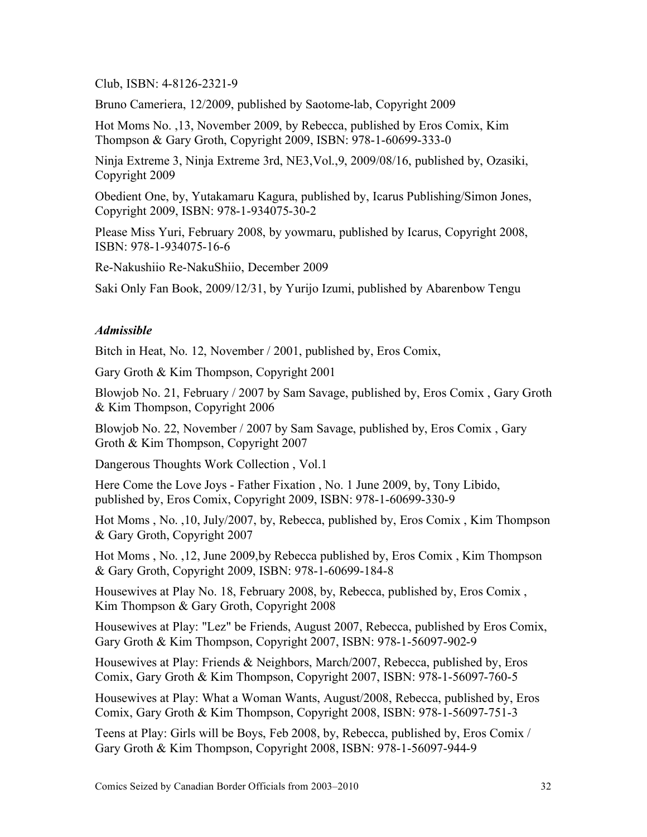#### Club, ISBN: 4-8126-2321-9

Bruno Cameriera, 12/2009, published by Saotome-lab, Copyright 2009

Hot Moms No. ,13, November 2009, by Rebecca, published by Eros Comix, Kim Thompson & Gary Groth, Copyright 2009, ISBN: 978-1-60699-333-0

Ninja Extreme 3, Ninja Extreme 3rd, NE3,Vol.,9, 2009/08/16, published by, Ozasiki, Copyright 2009

Obedient One, by, Yutakamaru Kagura, published by, Icarus Publishing/Simon Jones, Copyright 2009, ISBN: 978-1-934075-30-2

Please Miss Yuri, February 2008, by yowmaru, published by Icarus, Copyright 2008, ISBN: 978-1-934075-16-6

Re-Nakushiio Re-NakuShiio, December 2009

Saki Only Fan Book, 2009/12/31, by Yurijo Izumi, published by Abarenbow Tengu

#### *Admissible*

Bitch in Heat, No. 12, November / 2001, published by, Eros Comix,

Gary Groth & Kim Thompson, Copyright 2001

Blowjob No. 21, February / 2007 by Sam Savage, published by, Eros Comix , Gary Groth & Kim Thompson, Copyright 2006

Blowjob No. 22, November / 2007 by Sam Savage, published by, Eros Comix , Gary Groth & Kim Thompson, Copyright 2007

Dangerous Thoughts Work Collection , Vol.1

Here Come the Love Joys - Father Fixation , No. 1 June 2009, by, Tony Libido, published by, Eros Comix, Copyright 2009, ISBN: 978-1-60699-330-9

Hot Moms , No. ,10, July/2007, by, Rebecca, published by, Eros Comix , Kim Thompson & Gary Groth, Copyright 2007

Hot Moms , No. ,12, June 2009,by Rebecca published by, Eros Comix , Kim Thompson & Gary Groth, Copyright 2009, ISBN: 978-1-60699-184-8

Housewives at Play No. 18, February 2008, by, Rebecca, published by, Eros Comix , Kim Thompson & Gary Groth, Copyright 2008

Housewives at Play: "Lez" be Friends, August 2007, Rebecca, published by Eros Comix, Gary Groth & Kim Thompson, Copyright 2007, ISBN: 978-1-56097-902-9

Housewives at Play: Friends & Neighbors, March/2007, Rebecca, published by, Eros Comix, Gary Groth & Kim Thompson, Copyright 2007, ISBN: 978-1-56097-760-5

Housewives at Play: What a Woman Wants, August/2008, Rebecca, published by, Eros Comix, Gary Groth & Kim Thompson, Copyright 2008, ISBN: 978-1-56097-751-3

Teens at Play: Girls will be Boys, Feb 2008, by, Rebecca, published by, Eros Comix / Gary Groth & Kim Thompson, Copyright 2008, ISBN: 978-1-56097-944-9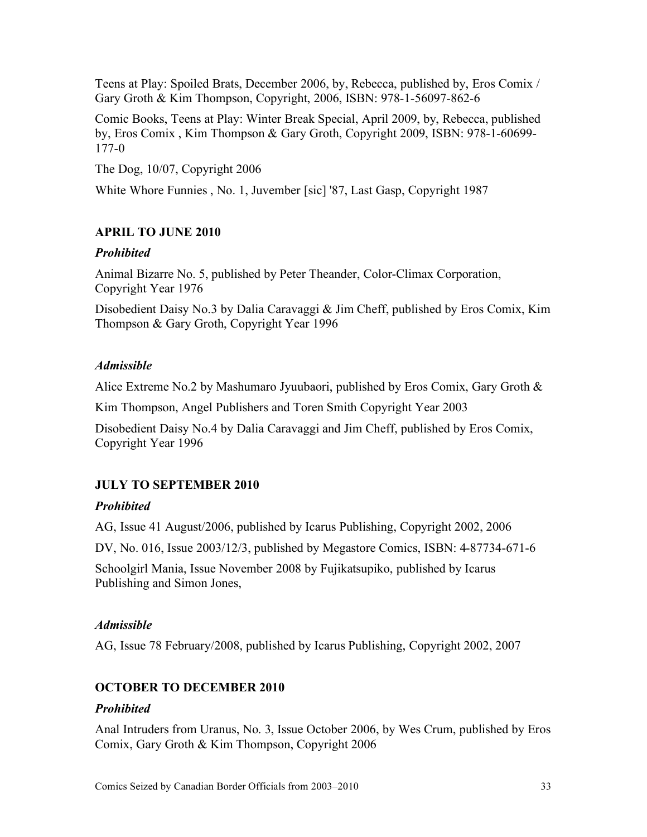Teens at Play: Spoiled Brats, December 2006, by, Rebecca, published by, Eros Comix / Gary Groth & Kim Thompson, Copyright, 2006, ISBN: 978-1-56097-862-6

Comic Books, Teens at Play: Winter Break Special, April 2009, by, Rebecca, published by, Eros Comix , Kim Thompson & Gary Groth, Copyright 2009, ISBN: 978-1-60699- 177-0

The Dog, 10/07, Copyright 2006

White Whore Funnies , No. 1, Juvember [sic] '87, Last Gasp, Copyright 1987

# **APRIL TO JUNE 2010**

# *Prohibited*

Animal Bizarre No. 5, published by Peter Theander, Color-Climax Corporation, Copyright Year 1976

Disobedient Daisy No.3 by Dalia Caravaggi & Jim Cheff, published by Eros Comix, Kim Thompson & Gary Groth, Copyright Year 1996

# *Admissible*

Alice Extreme No.2 by Mashumaro Jyuubaori, published by Eros Comix, Gary Groth &

Kim Thompson, Angel Publishers and Toren Smith Copyright Year 2003

Disobedient Daisy No.4 by Dalia Caravaggi and Jim Cheff, published by Eros Comix, Copyright Year 1996

# **JULY TO SEPTEMBER 2010**

# *Prohibited*

AG, Issue 41 August/2006, published by Icarus Publishing, Copyright 2002, 2006

DV, No. 016, Issue 2003/12/3, published by Megastore Comics, ISBN: 4-87734-671-6

Schoolgirl Mania, Issue November 2008 by Fujikatsupiko, published by Icarus Publishing and Simon Jones,

# *Admissible*

AG, Issue 78 February/2008, published by Icarus Publishing, Copyright 2002, 2007

# **OCTOBER TO DECEMBER 2010**

# *Prohibited*

Anal Intruders from Uranus, No. 3, Issue October 2006, by Wes Crum, published by Eros Comix, Gary Groth & Kim Thompson, Copyright 2006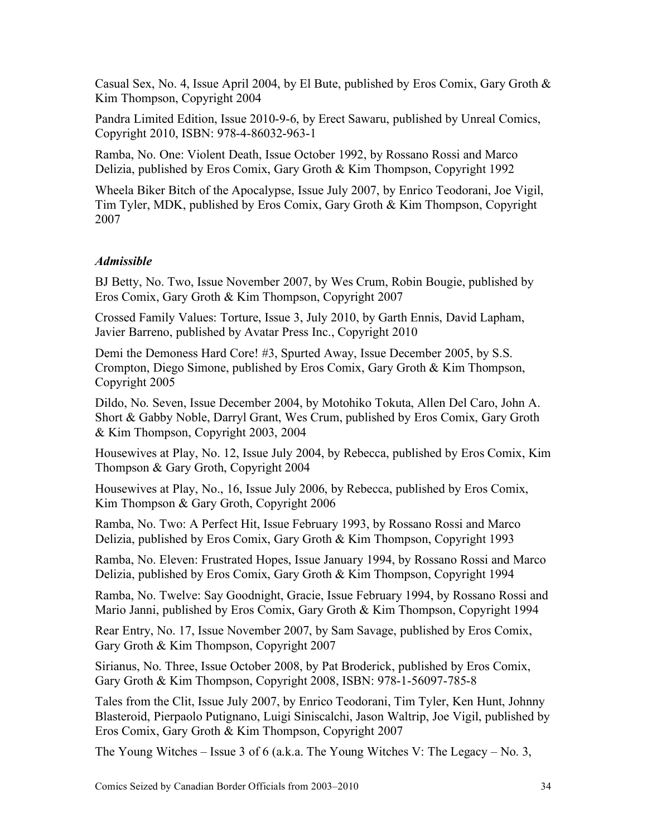Casual Sex, No. 4, Issue April 2004, by El Bute, published by Eros Comix, Gary Groth  $\&$ Kim Thompson, Copyright 2004

Pandra Limited Edition, Issue 2010-9-6, by Erect Sawaru, published by Unreal Comics, Copyright 2010, ISBN: 978-4-86032-963-1

Ramba, No. One: Violent Death, Issue October 1992, by Rossano Rossi and Marco Delizia, published by Eros Comix, Gary Groth & Kim Thompson, Copyright 1992

Wheela Biker Bitch of the Apocalypse, Issue July 2007, by Enrico Teodorani, Joe Vigil, Tim Tyler, MDK, published by Eros Comix, Gary Groth & Kim Thompson, Copyright 2007

# *Admissible*

BJ Betty, No. Two, Issue November 2007, by Wes Crum, Robin Bougie, published by Eros Comix, Gary Groth & Kim Thompson, Copyright 2007

Crossed Family Values: Torture, Issue 3, July 2010, by Garth Ennis, David Lapham, Javier Barreno, published by Avatar Press Inc., Copyright 2010

Demi the Demoness Hard Core! #3, Spurted Away, Issue December 2005, by S.S. Crompton, Diego Simone, published by Eros Comix, Gary Groth & Kim Thompson, Copyright 2005

Dildo, No. Seven, Issue December 2004, by Motohiko Tokuta, Allen Del Caro, John A. Short & Gabby Noble, Darryl Grant, Wes Crum, published by Eros Comix, Gary Groth & Kim Thompson, Copyright 2003, 2004

Housewives at Play, No. 12, Issue July 2004, by Rebecca, published by Eros Comix, Kim Thompson & Gary Groth, Copyright 2004

Housewives at Play, No., 16, Issue July 2006, by Rebecca, published by Eros Comix, Kim Thompson & Gary Groth, Copyright 2006

Ramba, No. Two: A Perfect Hit, Issue February 1993, by Rossano Rossi and Marco Delizia, published by Eros Comix, Gary Groth & Kim Thompson, Copyright 1993

Ramba, No. Eleven: Frustrated Hopes, Issue January 1994, by Rossano Rossi and Marco Delizia, published by Eros Comix, Gary Groth & Kim Thompson, Copyright 1994

Ramba, No. Twelve: Say Goodnight, Gracie, Issue February 1994, by Rossano Rossi and Mario Janni, published by Eros Comix, Gary Groth & Kim Thompson, Copyright 1994

Rear Entry, No. 17, Issue November 2007, by Sam Savage, published by Eros Comix, Gary Groth & Kim Thompson, Copyright 2007

Sirianus, No. Three, Issue October 2008, by Pat Broderick, published by Eros Comix, Gary Groth & Kim Thompson, Copyright 2008, ISBN: 978-1-56097-785-8

Tales from the Clit, Issue July 2007, by Enrico Teodorani, Tim Tyler, Ken Hunt, Johnny Blasteroid, Pierpaolo Putignano, Luigi Siniscalchi, Jason Waltrip, Joe Vigil, published by Eros Comix, Gary Groth & Kim Thompson, Copyright 2007

The Young Witches – Issue 3 of 6 (a.k.a. The Young Witches V: The Legacy – No. 3,